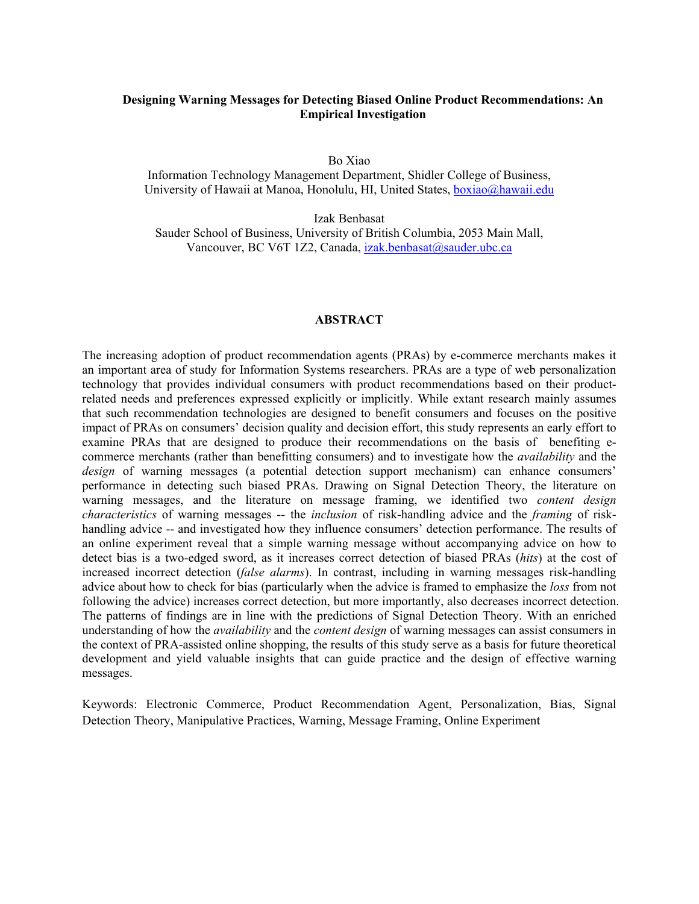## **Designing Warning Messages for Detecting Biased Online Product Recommendations: An Empirical Investigation**

Bo Xiao

Information Technology Management Department, Shidler College of Business, University of Hawaii at Manoa, Honolulu, HI, United States, boxiao@hawaii.edu

Izak Benbasat

Sauder School of Business, University of British Columbia, 2053 Main Mall, Vancouver, BC V6T 1Z2, Canada, izak.benbasat@sauder.ubc.ca

### **ABSTRACT**

The increasing adoption of product recommendation agents (PRAs) by e-commerce merchants makes it an important area of study for Information Systems researchers. PRAs are a type of web personalization technology that provides individual consumers with product recommendations based on their productrelated needs and preferences expressed explicitly or implicitly. While extant research mainly assumes that such recommendation technologies are designed to benefit consumers and focuses on the positive impact of PRAs on consumers' decision quality and decision effort, this study represents an early effort to examine PRAs that are designed to produce their recommendations on the basis of benefiting ecommerce merchants (rather than benefitting consumers) and to investigate how the *availability* and the *design* of warning messages (a potential detection support mechanism) can enhance consumers' performance in detecting such biased PRAs. Drawing on Signal Detection Theory, the literature on warning messages, and the literature on message framing, we identified two *content design characteristics* of warning messages -- the *inclusion* of risk-handling advice and the *framing* of riskhandling advice -- and investigated how they influence consumers' detection performance. The results of an online experiment reveal that a simple warning message without accompanying advice on how to detect bias is a two-edged sword, as it increases correct detection of biased PRAs (*hits*) at the cost of increased incorrect detection (*false alarms*). In contrast, including in warning messages risk-handling advice about how to check for bias (particularly when the advice is framed to emphasize the *loss* from not following the advice) increases correct detection, but more importantly, also decreases incorrect detection. The patterns of findings are in line with the predictions of Signal Detection Theory. With an enriched understanding of how the *availability* and the *content design* of warning messages can assist consumers in the context of PRA-assisted online shopping, the results of this study serve as a basis for future theoretical development and yield valuable insights that can guide practice and the design of effective warning messages.

Keywords: Electronic Commerce, Product Recommendation Agent, Personalization, Bias, Signal Detection Theory, Manipulative Practices, Warning, Message Framing, Online Experiment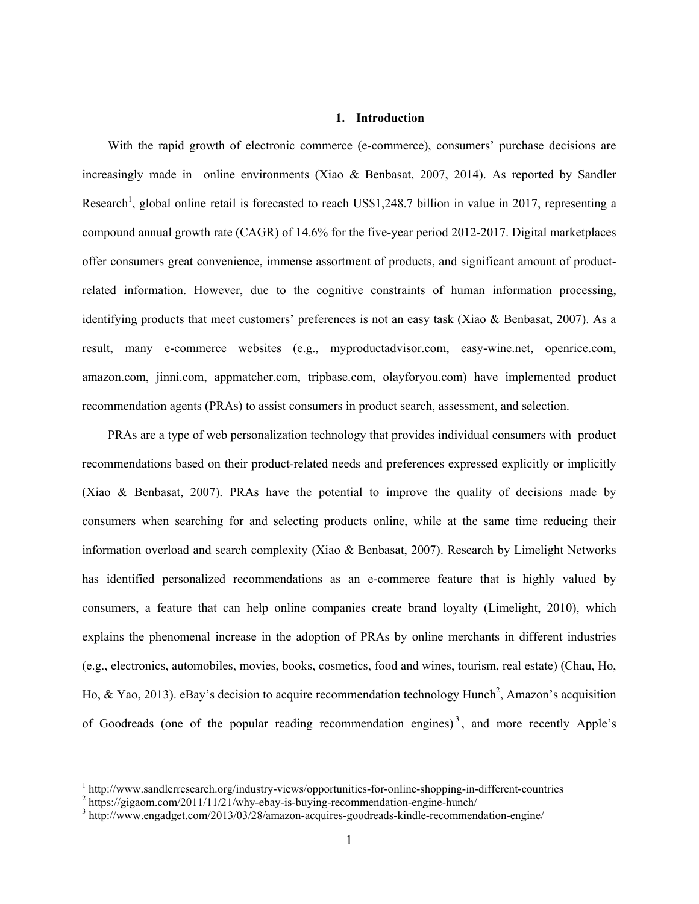### **1. Introduction**

With the rapid growth of electronic commerce (e-commerce), consumers' purchase decisions are increasingly made in online environments (Xiao & Benbasat, 2007, 2014). As reported by Sandler Research<sup>1</sup>, global online retail is forecasted to reach US\$1,248.7 billion in value in 2017, representing a compound annual growth rate (CAGR) of 14.6% for the five-year period 2012-2017. Digital marketplaces offer consumers great convenience, immense assortment of products, and significant amount of productrelated information. However, due to the cognitive constraints of human information processing, identifying products that meet customers' preferences is not an easy task (Xiao & Benbasat, 2007). As a result, many e-commerce websites (e.g., myproductadvisor.com, easy-wine.net, openrice.com, amazon.com, jinni.com, appmatcher.com, tripbase.com, olayforyou.com) have implemented product recommendation agents (PRAs) to assist consumers in product search, assessment, and selection.

PRAs are a type of web personalization technology that provides individual consumers with product recommendations based on their product-related needs and preferences expressed explicitly or implicitly (Xiao & Benbasat, 2007). PRAs have the potential to improve the quality of decisions made by consumers when searching for and selecting products online, while at the same time reducing their information overload and search complexity (Xiao & Benbasat, 2007). Research by Limelight Networks has identified personalized recommendations as an e-commerce feature that is highly valued by consumers, a feature that can help online companies create brand loyalty (Limelight, 2010), which explains the phenomenal increase in the adoption of PRAs by online merchants in different industries (e.g., electronics, automobiles, movies, books, cosmetics, food and wines, tourism, real estate) (Chau, Ho, Ho, & Yao, 2013). eBay's decision to acquire recommendation technology Hunch<sup>2</sup>, Amazon's acquisition of Goodreads (one of the popular reading recommendation engines)<sup>3</sup>, and more recently Apple's

 $\frac{1}{2}$  http://www.sandlerresearch.org/industry-views/opportunities-for-online-shopping-in-different-countries  $\frac{2}{2}$  https://giggam.com/2011/11/21/why.oboy.is byving recommondation.orging bynab/

<sup>&</sup>lt;sup>2</sup> https://gigaom.com/2011/11/21/why-ebay-is-buying-recommendation-engine-hunch/

<sup>&</sup>lt;sup>3</sup> http://www.engadget.com/2013/03/28/amazon-acquires-goodreads-kindle-recommendation-engine/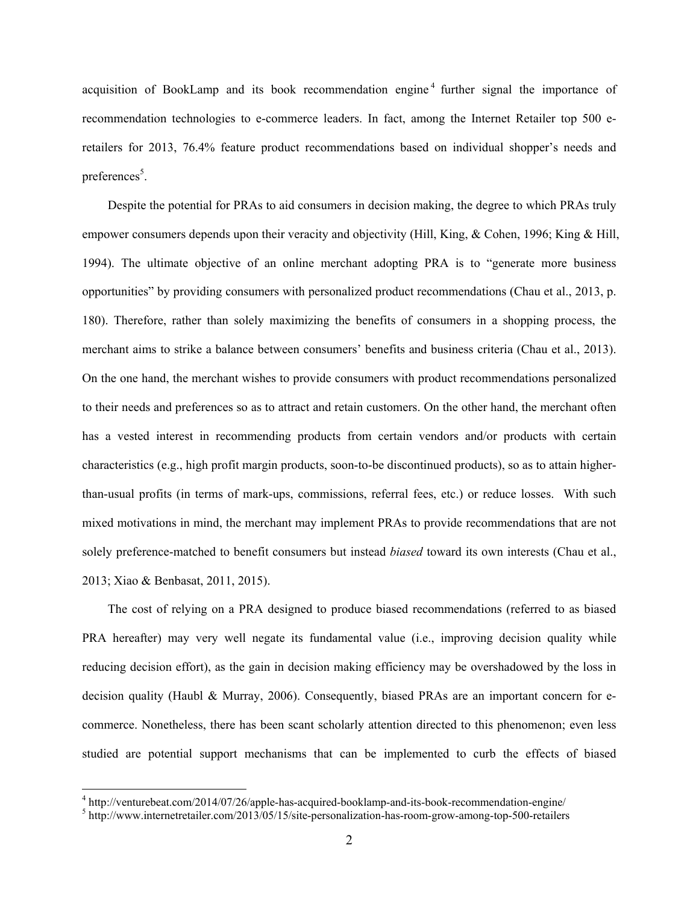acquisition of BookLamp and its book recommendation engine<sup>4</sup> further signal the importance of recommendation technologies to e-commerce leaders. In fact, among the Internet Retailer top 500 eretailers for 2013, 76.4% feature product recommendations based on individual shopper's needs and preferences<sup>5</sup>.

 Despite the potential for PRAs to aid consumers in decision making, the degree to which PRAs truly empower consumers depends upon their veracity and objectivity (Hill, King, & Cohen, 1996; King & Hill, 1994). The ultimate objective of an online merchant adopting PRA is to "generate more business opportunities" by providing consumers with personalized product recommendations (Chau et al., 2013, p. 180). Therefore, rather than solely maximizing the benefits of consumers in a shopping process, the merchant aims to strike a balance between consumers' benefits and business criteria (Chau et al., 2013). On the one hand, the merchant wishes to provide consumers with product recommendations personalized to their needs and preferences so as to attract and retain customers. On the other hand, the merchant often has a vested interest in recommending products from certain vendors and/or products with certain characteristics (e.g., high profit margin products, soon-to-be discontinued products), so as to attain higherthan-usual profits (in terms of mark-ups, commissions, referral fees, etc.) or reduce losses. With such mixed motivations in mind, the merchant may implement PRAs to provide recommendations that are not solely preference-matched to benefit consumers but instead *biased* toward its own interests (Chau et al., 2013; Xiao & Benbasat, 2011, 2015).

The cost of relying on a PRA designed to produce biased recommendations (referred to as biased PRA hereafter) may very well negate its fundamental value (i.e., improving decision quality while reducing decision effort), as the gain in decision making efficiency may be overshadowed by the loss in decision quality (Haubl & Murray, 2006). Consequently, biased PRAs are an important concern for ecommerce. Nonetheless, there has been scant scholarly attention directed to this phenomenon; even less studied are potential support mechanisms that can be implemented to curb the effects of biased

 $^{4}$  http://venturebeat.com/2014/07/26/apple-has-acquired-booklamp-and-its-book-recommendation-engine/<br> $^{5}$  http://www.internetrateiler.com/2013/05/15/site personalization has room grow among top 500 rateilers

<sup>&</sup>lt;sup>5</sup> http://www.internetretailer.com/2013/05/15/site-personalization-has-room-grow-among-top-500-retailers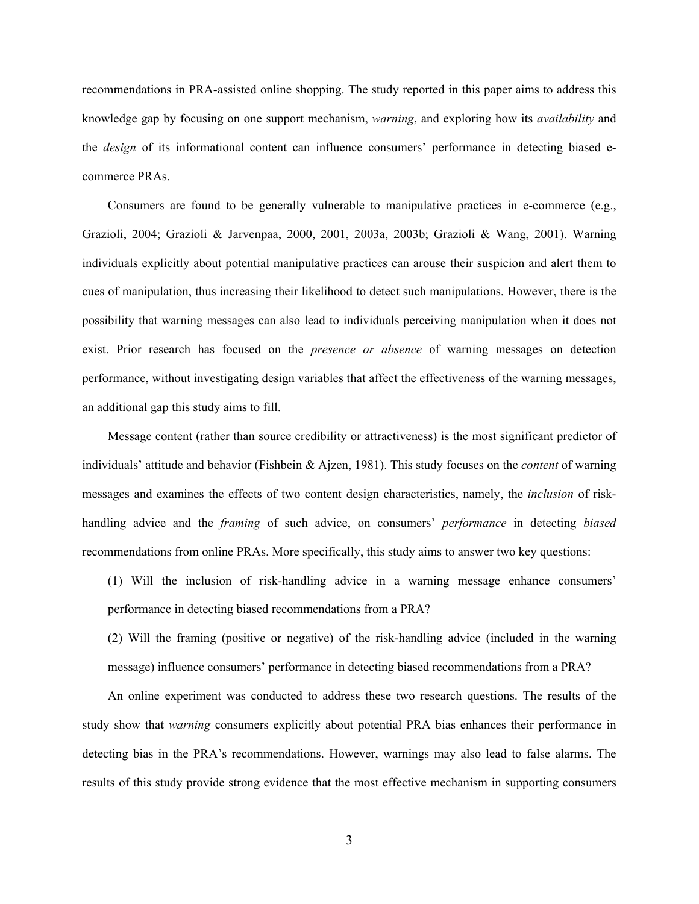recommendations in PRA-assisted online shopping. The study reported in this paper aims to address this knowledge gap by focusing on one support mechanism, *warning*, and exploring how its *availability* and the *design* of its informational content can influence consumers' performance in detecting biased ecommerce PRAs.

Consumers are found to be generally vulnerable to manipulative practices in e-commerce (e.g., Grazioli, 2004; Grazioli & Jarvenpaa, 2000, 2001, 2003a, 2003b; Grazioli & Wang, 2001). Warning individuals explicitly about potential manipulative practices can arouse their suspicion and alert them to cues of manipulation, thus increasing their likelihood to detect such manipulations. However, there is the possibility that warning messages can also lead to individuals perceiving manipulation when it does not exist. Prior research has focused on the *presence or absence* of warning messages on detection performance, without investigating design variables that affect the effectiveness of the warning messages, an additional gap this study aims to fill.

Message content (rather than source credibility or attractiveness) is the most significant predictor of individuals' attitude and behavior (Fishbein & Ajzen, 1981). This study focuses on the *content* of warning messages and examines the effects of two content design characteristics, namely, the *inclusion* of riskhandling advice and the *framing* of such advice, on consumers' *performance* in detecting *biased* recommendations from online PRAs. More specifically, this study aims to answer two key questions:

(1) Will the inclusion of risk-handling advice in a warning message enhance consumers' performance in detecting biased recommendations from a PRA?

(2) Will the framing (positive or negative) of the risk-handling advice (included in the warning message) influence consumers' performance in detecting biased recommendations from a PRA?

 An online experiment was conducted to address these two research questions. The results of the study show that *warning* consumers explicitly about potential PRA bias enhances their performance in detecting bias in the PRA's recommendations. However, warnings may also lead to false alarms. The results of this study provide strong evidence that the most effective mechanism in supporting consumers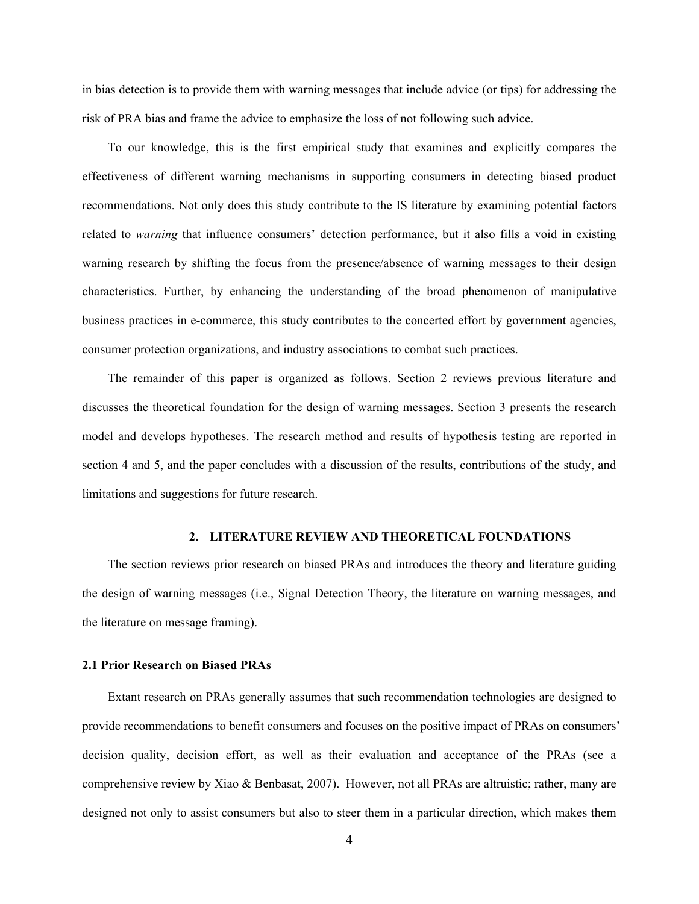in bias detection is to provide them with warning messages that include advice (or tips) for addressing the risk of PRA bias and frame the advice to emphasize the loss of not following such advice.

To our knowledge, this is the first empirical study that examines and explicitly compares the effectiveness of different warning mechanisms in supporting consumers in detecting biased product recommendations. Not only does this study contribute to the IS literature by examining potential factors related to *warning* that influence consumers' detection performance, but it also fills a void in existing warning research by shifting the focus from the presence/absence of warning messages to their design characteristics. Further, by enhancing the understanding of the broad phenomenon of manipulative business practices in e-commerce, this study contributes to the concerted effort by government agencies, consumer protection organizations, and industry associations to combat such practices.

The remainder of this paper is organized as follows. Section 2 reviews previous literature and discusses the theoretical foundation for the design of warning messages. Section 3 presents the research model and develops hypotheses. The research method and results of hypothesis testing are reported in section 4 and 5, and the paper concludes with a discussion of the results, contributions of the study, and limitations and suggestions for future research.

## **2. LITERATURE REVIEW AND THEORETICAL FOUNDATIONS**

The section reviews prior research on biased PRAs and introduces the theory and literature guiding the design of warning messages (i.e., Signal Detection Theory, the literature on warning messages, and the literature on message framing).

### **2.1 Prior Research on Biased PRAs**

Extant research on PRAs generally assumes that such recommendation technologies are designed to provide recommendations to benefit consumers and focuses on the positive impact of PRAs on consumers' decision quality, decision effort, as well as their evaluation and acceptance of the PRAs (see a comprehensive review by Xiao & Benbasat, 2007). However, not all PRAs are altruistic; rather, many are designed not only to assist consumers but also to steer them in a particular direction, which makes them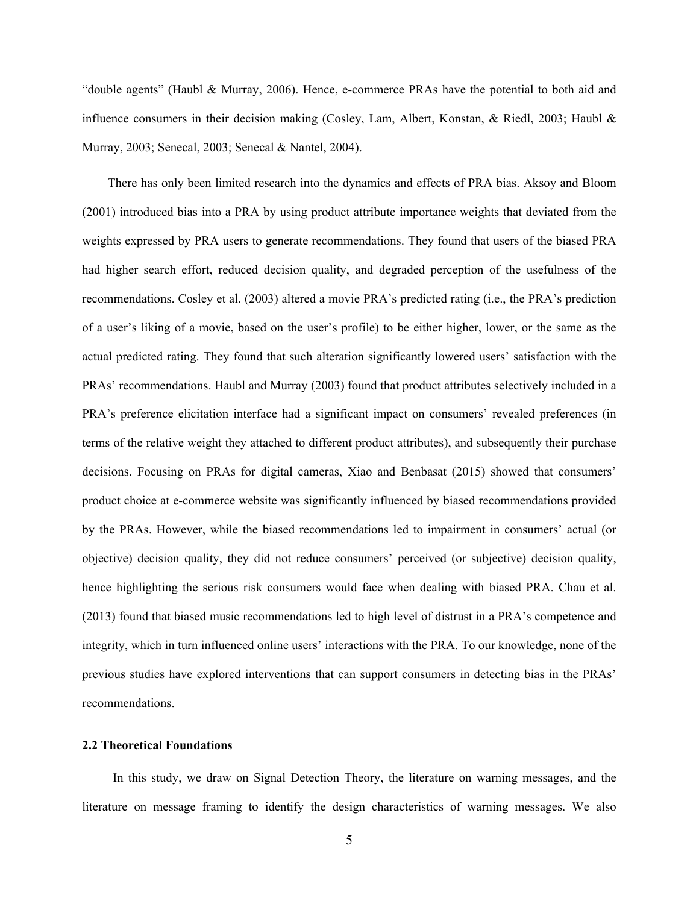"double agents" (Haubl & Murray, 2006). Hence, e-commerce PRAs have the potential to both aid and influence consumers in their decision making (Cosley, Lam, Albert, Konstan, & Riedl, 2003; Haubl & Murray, 2003; Senecal, 2003; Senecal & Nantel, 2004).

There has only been limited research into the dynamics and effects of PRA bias. Aksoy and Bloom (2001) introduced bias into a PRA by using product attribute importance weights that deviated from the weights expressed by PRA users to generate recommendations. They found that users of the biased PRA had higher search effort, reduced decision quality, and degraded perception of the usefulness of the recommendations. Cosley et al. (2003) altered a movie PRA's predicted rating (i.e., the PRA's prediction of a user's liking of a movie, based on the user's profile) to be either higher, lower, or the same as the actual predicted rating. They found that such alteration significantly lowered users' satisfaction with the PRAs' recommendations. Haubl and Murray (2003) found that product attributes selectively included in a PRA's preference elicitation interface had a significant impact on consumers' revealed preferences (in terms of the relative weight they attached to different product attributes), and subsequently their purchase decisions. Focusing on PRAs for digital cameras, Xiao and Benbasat (2015) showed that consumers' product choice at e-commerce website was significantly influenced by biased recommendations provided by the PRAs. However, while the biased recommendations led to impairment in consumers' actual (or objective) decision quality, they did not reduce consumers' perceived (or subjective) decision quality, hence highlighting the serious risk consumers would face when dealing with biased PRA. Chau et al. (2013) found that biased music recommendations led to high level of distrust in a PRA's competence and integrity, which in turn influenced online users' interactions with the PRA. To our knowledge, none of the previous studies have explored interventions that can support consumers in detecting bias in the PRAs' recommendations.

#### **2.2 Theoretical Foundations**

In this study, we draw on Signal Detection Theory, the literature on warning messages, and the literature on message framing to identify the design characteristics of warning messages. We also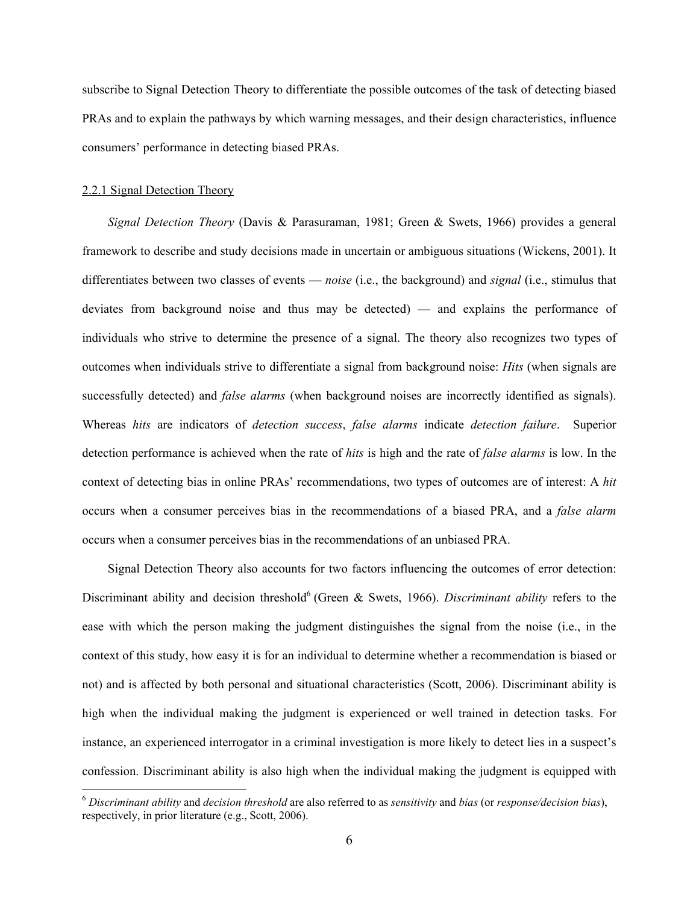subscribe to Signal Detection Theory to differentiate the possible outcomes of the task of detecting biased PRAs and to explain the pathways by which warning messages, and their design characteristics, influence consumers' performance in detecting biased PRAs.

#### 2.2.1 Signal Detection Theory

 $\overline{a}$ 

*Signal Detection Theory* (Davis & Parasuraman, 1981; Green & Swets, 1966) provides a general framework to describe and study decisions made in uncertain or ambiguous situations (Wickens, 2001). It differentiates between two classes of events — *noise* (i.e., the background) and *signal* (i.e., stimulus that deviates from background noise and thus may be detected) — and explains the performance of individuals who strive to determine the presence of a signal. The theory also recognizes two types of outcomes when individuals strive to differentiate a signal from background noise: *Hits* (when signals are successfully detected) and *false alarms* (when background noises are incorrectly identified as signals). Whereas *hits* are indicators of *detection success*, *false alarms* indicate *detection failure*. Superior detection performance is achieved when the rate of *hits* is high and the rate of *false alarms* is low. In the context of detecting bias in online PRAs' recommendations, two types of outcomes are of interest: A *hit*  occurs when a consumer perceives bias in the recommendations of a biased PRA, and a *false alarm* occurs when a consumer perceives bias in the recommendations of an unbiased PRA.

Signal Detection Theory also accounts for two factors influencing the outcomes of error detection: Discriminant ability and decision threshold<sup>6</sup> (Green & Swets, 1966). *Discriminant ability* refers to the ease with which the person making the judgment distinguishes the signal from the noise (i.e., in the context of this study, how easy it is for an individual to determine whether a recommendation is biased or not) and is affected by both personal and situational characteristics (Scott, 2006). Discriminant ability is high when the individual making the judgment is experienced or well trained in detection tasks. For instance, an experienced interrogator in a criminal investigation is more likely to detect lies in a suspect's confession. Discriminant ability is also high when the individual making the judgment is equipped with

<sup>6</sup> *Discriminant ability* and *decision threshold* are also referred to as *sensitivity* and *bias* (or *response/decision bias*), respectively, in prior literature (e.g., Scott, 2006).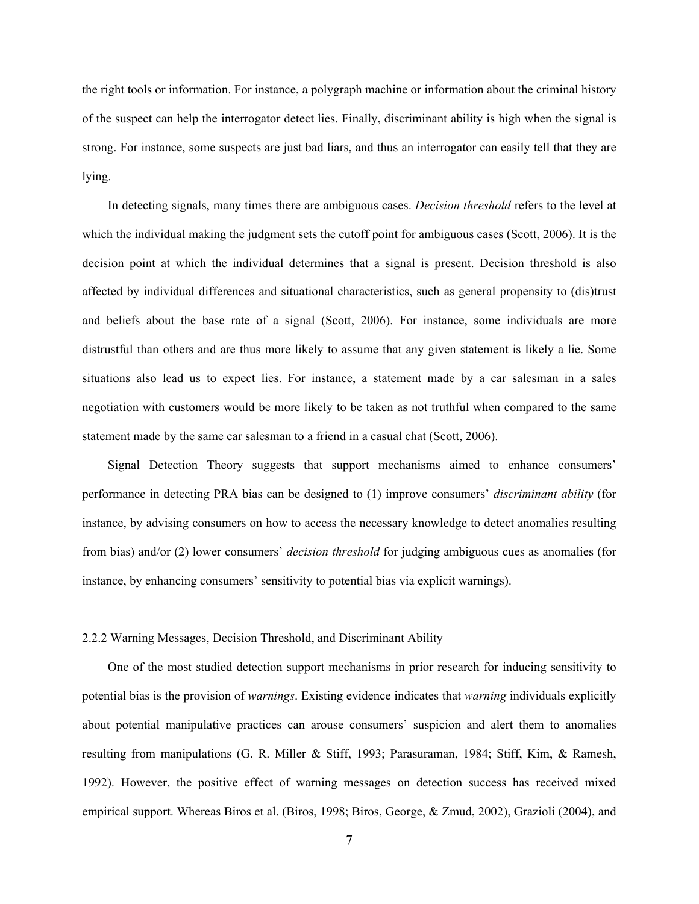the right tools or information. For instance, a polygraph machine or information about the criminal history of the suspect can help the interrogator detect lies. Finally, discriminant ability is high when the signal is strong. For instance, some suspects are just bad liars, and thus an interrogator can easily tell that they are lying.

In detecting signals, many times there are ambiguous cases. *Decision threshold* refers to the level at which the individual making the judgment sets the cutoff point for ambiguous cases (Scott, 2006). It is the decision point at which the individual determines that a signal is present. Decision threshold is also affected by individual differences and situational characteristics, such as general propensity to (dis)trust and beliefs about the base rate of a signal (Scott, 2006). For instance, some individuals are more distrustful than others and are thus more likely to assume that any given statement is likely a lie. Some situations also lead us to expect lies. For instance, a statement made by a car salesman in a sales negotiation with customers would be more likely to be taken as not truthful when compared to the same statement made by the same car salesman to a friend in a casual chat (Scott, 2006).

Signal Detection Theory suggests that support mechanisms aimed to enhance consumers' performance in detecting PRA bias can be designed to (1) improve consumers' *discriminant ability* (for instance, by advising consumers on how to access the necessary knowledge to detect anomalies resulting from bias) and/or (2) lower consumers' *decision threshold* for judging ambiguous cues as anomalies (for instance, by enhancing consumers' sensitivity to potential bias via explicit warnings).

#### 2.2.2 Warning Messages, Decision Threshold, and Discriminant Ability

 One of the most studied detection support mechanisms in prior research for inducing sensitivity to potential bias is the provision of *warnings*. Existing evidence indicates that *warning* individuals explicitly about potential manipulative practices can arouse consumers' suspicion and alert them to anomalies resulting from manipulations (G. R. Miller & Stiff, 1993; Parasuraman, 1984; Stiff, Kim, & Ramesh, 1992). However, the positive effect of warning messages on detection success has received mixed empirical support. Whereas Biros et al. (Biros, 1998; Biros, George, & Zmud, 2002), Grazioli (2004), and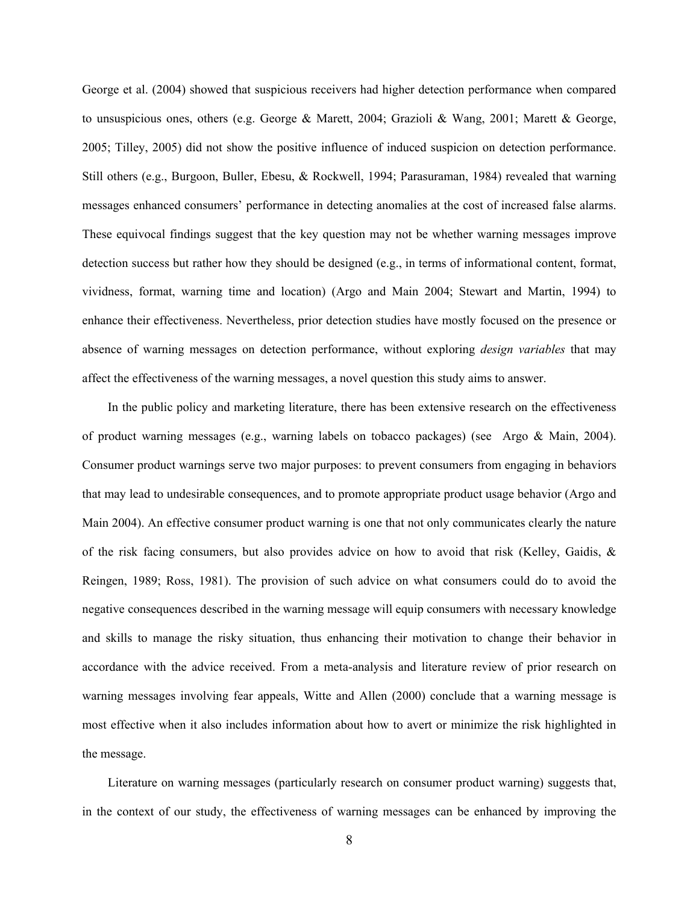George et al. (2004) showed that suspicious receivers had higher detection performance when compared to unsuspicious ones, others (e.g. George & Marett, 2004; Grazioli & Wang, 2001; Marett & George, 2005; Tilley, 2005) did not show the positive influence of induced suspicion on detection performance. Still others (e.g., Burgoon, Buller, Ebesu, & Rockwell, 1994; Parasuraman, 1984) revealed that warning messages enhanced consumers' performance in detecting anomalies at the cost of increased false alarms. These equivocal findings suggest that the key question may not be whether warning messages improve detection success but rather how they should be designed (e.g., in terms of informational content, format, vividness, format, warning time and location) (Argo and Main 2004; Stewart and Martin, 1994) to enhance their effectiveness. Nevertheless, prior detection studies have mostly focused on the presence or absence of warning messages on detection performance, without exploring *design variables* that may affect the effectiveness of the warning messages, a novel question this study aims to answer.

 In the public policy and marketing literature, there has been extensive research on the effectiveness of product warning messages (e.g., warning labels on tobacco packages) (see Argo & Main, 2004). Consumer product warnings serve two major purposes: to prevent consumers from engaging in behaviors that may lead to undesirable consequences, and to promote appropriate product usage behavior (Argo and Main 2004). An effective consumer product warning is one that not only communicates clearly the nature of the risk facing consumers, but also provides advice on how to avoid that risk (Kelley, Gaidis, & Reingen, 1989; Ross, 1981). The provision of such advice on what consumers could do to avoid the negative consequences described in the warning message will equip consumers with necessary knowledge and skills to manage the risky situation, thus enhancing their motivation to change their behavior in accordance with the advice received. From a meta-analysis and literature review of prior research on warning messages involving fear appeals, Witte and Allen (2000) conclude that a warning message is most effective when it also includes information about how to avert or minimize the risk highlighted in the message.

 Literature on warning messages (particularly research on consumer product warning) suggests that, in the context of our study, the effectiveness of warning messages can be enhanced by improving the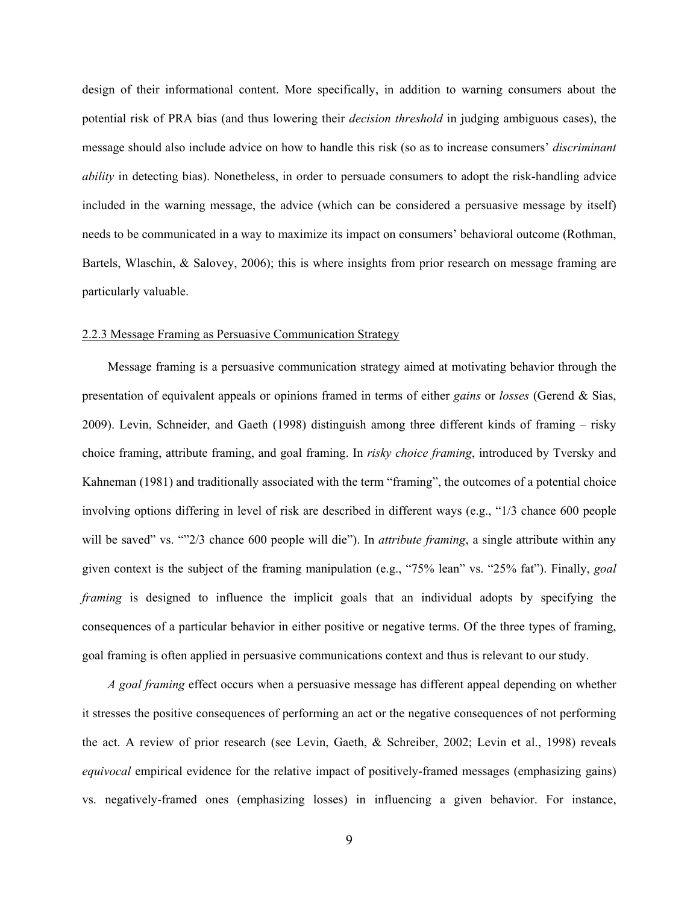design of their informational content. More specifically, in addition to warning consumers about the potential risk of PRA bias (and thus lowering their *decision threshold* in judging ambiguous cases), the message should also include advice on how to handle this risk (so as to increase consumers' *discriminant ability* in detecting bias). Nonetheless, in order to persuade consumers to adopt the risk-handling advice included in the warning message, the advice (which can be considered a persuasive message by itself) needs to be communicated in a way to maximize its impact on consumers' behavioral outcome (Rothman, Bartels, Wlaschin, & Salovey, 2006); this is where insights from prior research on message framing are particularly valuable.

### 2.2.3 Message Framing as Persuasive Communication Strategy

 Message framing is a persuasive communication strategy aimed at motivating behavior through the presentation of equivalent appeals or opinions framed in terms of either *gains* or *losses* (Gerend & Sias, 2009). Levin, Schneider, and Gaeth (1998) distinguish among three different kinds of framing – risky choice framing, attribute framing, and goal framing. In *risky choice framing*, introduced by Tversky and Kahneman (1981) and traditionally associated with the term "framing", the outcomes of a potential choice involving options differing in level of risk are described in different ways (e.g., "1/3 chance 600 people will be saved" vs. ""2/3 chance 600 people will die"). In *attribute framing*, a single attribute within any given context is the subject of the framing manipulation (e.g., "75% lean" vs. "25% fat"). Finally, *goal framing* is designed to influence the implicit goals that an individual adopts by specifying the consequences of a particular behavior in either positive or negative terms. Of the three types of framing, goal framing is often applied in persuasive communications context and thus is relevant to our study.

*A goal framing* effect occurs when a persuasive message has different appeal depending on whether it stresses the positive consequences of performing an act or the negative consequences of not performing the act. A review of prior research (see Levin, Gaeth, & Schreiber, 2002; Levin et al., 1998) reveals *equivocal* empirical evidence for the relative impact of positively-framed messages (emphasizing gains) vs. negatively-framed ones (emphasizing losses) in influencing a given behavior. For instance,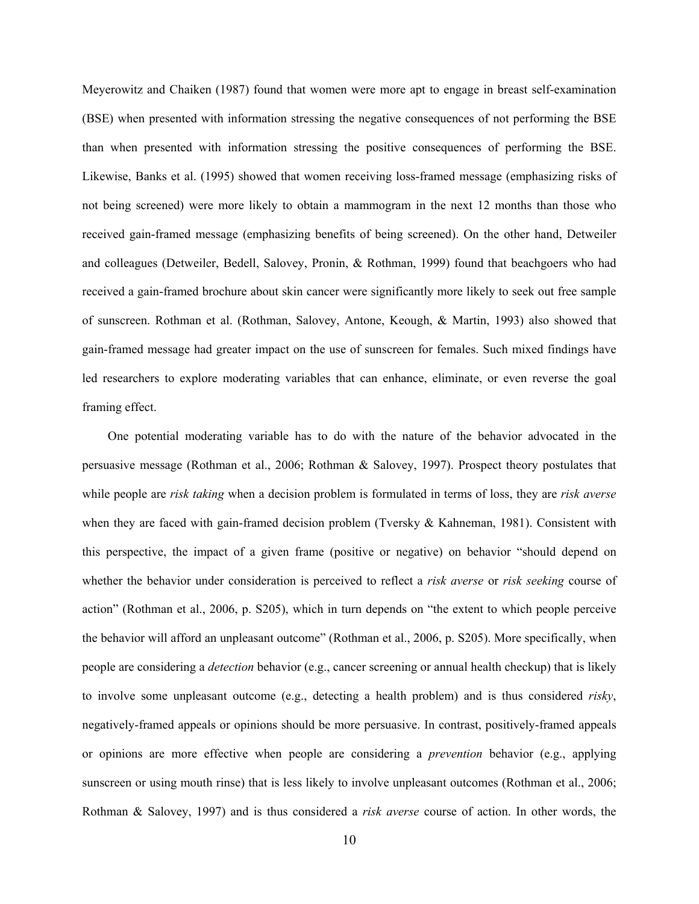Meyerowitz and Chaiken (1987) found that women were more apt to engage in breast self-examination (BSE) when presented with information stressing the negative consequences of not performing the BSE than when presented with information stressing the positive consequences of performing the BSE. Likewise, Banks et al. (1995) showed that women receiving loss-framed message (emphasizing risks of not being screened) were more likely to obtain a mammogram in the next 12 months than those who received gain-framed message (emphasizing benefits of being screened). On the other hand, Detweiler and colleagues (Detweiler, Bedell, Salovey, Pronin, & Rothman, 1999) found that beachgoers who had received a gain-framed brochure about skin cancer were significantly more likely to seek out free sample of sunscreen. Rothman et al. (Rothman, Salovey, Antone, Keough, & Martin, 1993) also showed that gain-framed message had greater impact on the use of sunscreen for females. Such mixed findings have led researchers to explore moderating variables that can enhance, eliminate, or even reverse the goal framing effect.

One potential moderating variable has to do with the nature of the behavior advocated in the persuasive message (Rothman et al., 2006; Rothman & Salovey, 1997). Prospect theory postulates that while people are *risk taking* when a decision problem is formulated in terms of loss, they are *risk averse* when they are faced with gain-framed decision problem (Tversky & Kahneman, 1981). Consistent with this perspective, the impact of a given frame (positive or negative) on behavior "should depend on whether the behavior under consideration is perceived to reflect a *risk averse* or *risk seeking* course of action" (Rothman et al., 2006, p. S205), which in turn depends on "the extent to which people perceive the behavior will afford an unpleasant outcome" (Rothman et al., 2006, p. S205). More specifically, when people are considering a *detection* behavior (e.g., cancer screening or annual health checkup) that is likely to involve some unpleasant outcome (e.g., detecting a health problem) and is thus considered *risky*, negatively-framed appeals or opinions should be more persuasive. In contrast, positively-framed appeals or opinions are more effective when people are considering a *prevention* behavior (e.g., applying sunscreen or using mouth rinse) that is less likely to involve unpleasant outcomes (Rothman et al., 2006; Rothman & Salovey, 1997) and is thus considered a *risk averse* course of action. In other words, the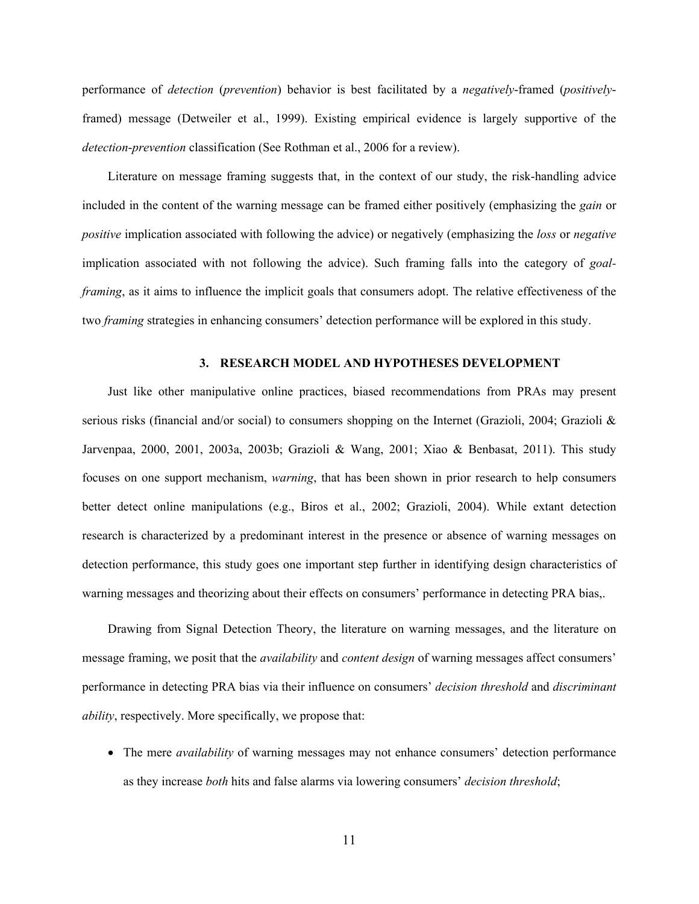performance of *detection* (*prevention*) behavior is best facilitated by a *negatively*-framed (*positively*framed) message (Detweiler et al., 1999). Existing empirical evidence is largely supportive of the *detection*-*prevention* classification (See Rothman et al., 2006 for a review).

Literature on message framing suggests that, in the context of our study, the risk-handling advice included in the content of the warning message can be framed either positively (emphasizing the *gain* or *positive* implication associated with following the advice) or negatively (emphasizing the *loss* or *negative* implication associated with not following the advice). Such framing falls into the category of *goalframing*, as it aims to influence the implicit goals that consumers adopt. The relative effectiveness of the two *framing* strategies in enhancing consumers' detection performance will be explored in this study.

### **3. RESEARCH MODEL AND HYPOTHESES DEVELOPMENT**

Just like other manipulative online practices, biased recommendations from PRAs may present serious risks (financial and/or social) to consumers shopping on the Internet (Grazioli, 2004; Grazioli & Jarvenpaa, 2000, 2001, 2003a, 2003b; Grazioli & Wang, 2001; Xiao & Benbasat, 2011). This study focuses on one support mechanism, *warning*, that has been shown in prior research to help consumers better detect online manipulations (e.g., Biros et al., 2002; Grazioli, 2004). While extant detection research is characterized by a predominant interest in the presence or absence of warning messages on detection performance, this study goes one important step further in identifying design characteristics of warning messages and theorizing about their effects on consumers' performance in detecting PRA bias,.

Drawing from Signal Detection Theory, the literature on warning messages, and the literature on message framing, we posit that the *availability* and *content design* of warning messages affect consumers' performance in detecting PRA bias via their influence on consumers' *decision threshold* and *discriminant ability*, respectively. More specifically, we propose that:

 The mere *availability* of warning messages may not enhance consumers' detection performance as they increase *both* hits and false alarms via lowering consumers' *decision threshold*;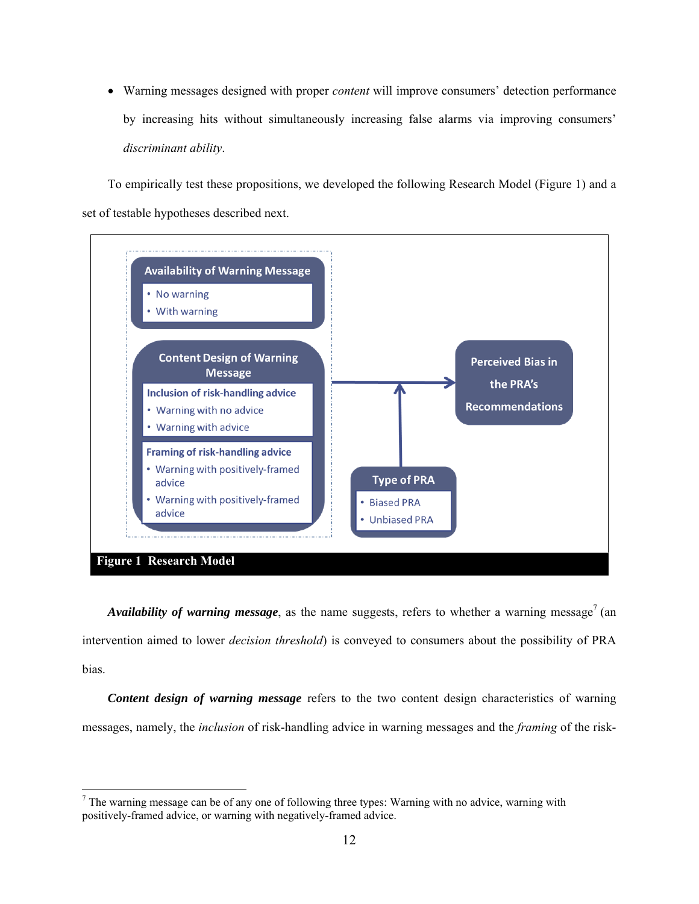Warning messages designed with proper *content* will improve consumers' detection performance by increasing hits without simultaneously increasing false alarms via improving consumers' *discriminant ability*.

To empirically test these propositions, we developed the following Research Model (Figure 1) and a set of testable hypotheses described next.



*Availability of warning message*, as the name suggests, refers to whether a warning message<sup>7</sup> (an intervention aimed to lower *decision threshold*) is conveyed to consumers about the possibility of PRA bias.

*Content design of warning message* refers to the two content design characteristics of warning messages, namely, the *inclusion* of risk-handling advice in warning messages and the *framing* of the risk-

 $\overline{\phantom{a}}$ 

 $<sup>7</sup>$  The warning message can be of any one of following three types: Warning with no advice, warning with</sup> positively-framed advice, or warning with negatively-framed advice.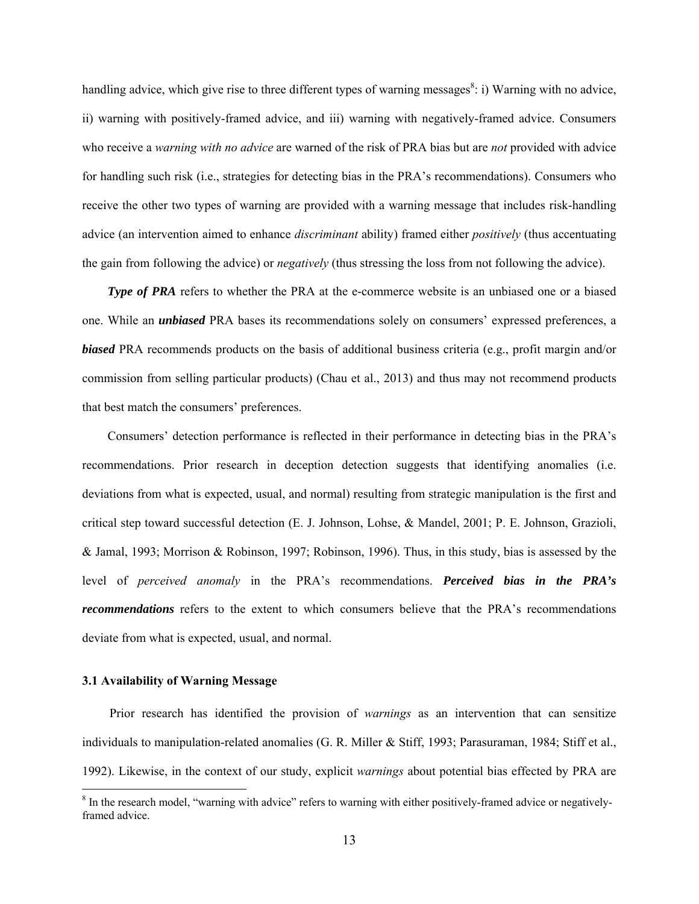handling advice, which give rise to three different types of warning messages<sup>8</sup>: i) Warning with no advice, ii) warning with positively-framed advice, and iii) warning with negatively-framed advice. Consumers who receive a *warning with no advice* are warned of the risk of PRA bias but are *not* provided with advice for handling such risk (i.e., strategies for detecting bias in the PRA's recommendations). Consumers who receive the other two types of warning are provided with a warning message that includes risk-handling advice (an intervention aimed to enhance *discriminant* ability) framed either *positively* (thus accentuating the gain from following the advice) or *negatively* (thus stressing the loss from not following the advice).

*Type of PRA* refers to whether the PRA at the e-commerce website is an unbiased one or a biased one. While an *unbiased* PRA bases its recommendations solely on consumers' expressed preferences, a *biased* PRA recommends products on the basis of additional business criteria (e.g., profit margin and/or commission from selling particular products) (Chau et al., 2013) and thus may not recommend products that best match the consumers' preferences.

Consumers' detection performance is reflected in their performance in detecting bias in the PRA's recommendations. Prior research in deception detection suggests that identifying anomalies (i.e. deviations from what is expected, usual, and normal) resulting from strategic manipulation is the first and critical step toward successful detection (E. J. Johnson, Lohse, & Mandel, 2001; P. E. Johnson, Grazioli, & Jamal, 1993; Morrison & Robinson, 1997; Robinson, 1996). Thus, in this study, bias is assessed by the level of *perceived anomaly* in the PRA's recommendations. *Perceived bias in the PRA's recommendations* refers to the extent to which consumers believe that the PRA's recommendations deviate from what is expected, usual, and normal.

### **3.1 Availability of Warning Message**

Prior research has identified the provision of *warnings* as an intervention that can sensitize individuals to manipulation-related anomalies (G. R. Miller & Stiff, 1993; Parasuraman, 1984; Stiff et al., 1992). Likewise, in the context of our study, explicit *warnings* about potential bias effected by PRA are

<sup>&</sup>lt;sup>8</sup> In the research model, "warning with advice" refers to warning with either positively-framed advice or negativelyframed advice.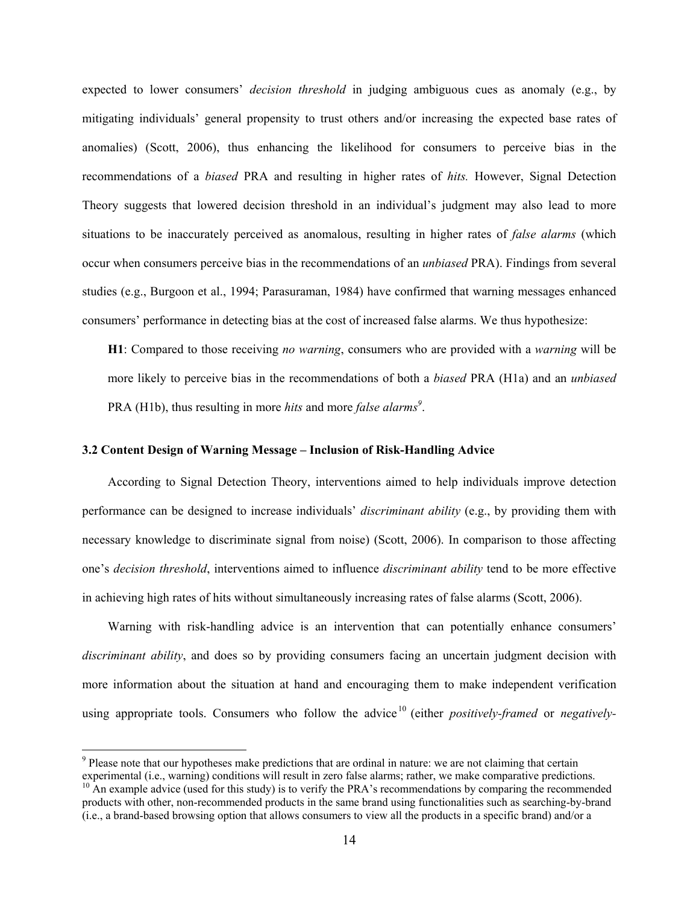expected to lower consumers' *decision threshold* in judging ambiguous cues as anomaly (e.g., by mitigating individuals' general propensity to trust others and/or increasing the expected base rates of anomalies) (Scott, 2006), thus enhancing the likelihood for consumers to perceive bias in the recommendations of a *biased* PRA and resulting in higher rates of *hits.* However, Signal Detection Theory suggests that lowered decision threshold in an individual's judgment may also lead to more situations to be inaccurately perceived as anomalous, resulting in higher rates of *false alarms* (which occur when consumers perceive bias in the recommendations of an *unbiased* PRA). Findings from several studies (e.g., Burgoon et al., 1994; Parasuraman, 1984) have confirmed that warning messages enhanced consumers' performance in detecting bias at the cost of increased false alarms. We thus hypothesize:

**H1**: Compared to those receiving *no warning*, consumers who are provided with a *warning* will be more likely to perceive bias in the recommendations of both a *biased* PRA (H1a) and an *unbiased* PRA (H1b), thus resulting in more *hits* and more *false alarms*<sup>9</sup>.

### **3.2 Content Design of Warning Message – Inclusion of Risk-Handling Advice**

According to Signal Detection Theory, interventions aimed to help individuals improve detection performance can be designed to increase individuals' *discriminant ability* (e.g., by providing them with necessary knowledge to discriminate signal from noise) (Scott, 2006). In comparison to those affecting one's *decision threshold*, interventions aimed to influence *discriminant ability* tend to be more effective in achieving high rates of hits without simultaneously increasing rates of false alarms (Scott, 2006).

Warning with risk-handling advice is an intervention that can potentially enhance consumers' *discriminant ability*, and does so by providing consumers facing an uncertain judgment decision with more information about the situation at hand and encouraging them to make independent verification using appropriate tools. Consumers who follow the advice<sup>10</sup> (either *positively-framed* or *negatively-*

<sup>&</sup>lt;sup>9</sup> Please note that our hypotheses make predictions that are ordinal in nature: we are not claiming that certain experimental (i.e., warning) conditions will result in zero false alarms; rather, we make comparative predictions.

<sup>&</sup>lt;sup>10</sup> An example advice (used for this study) is to verify the PRA's recommendations by comparing the recommended products with other, non-recommended products in the same brand using functionalities such as searching-by-brand (i.e., a brand-based browsing option that allows consumers to view all the products in a specific brand) and/or a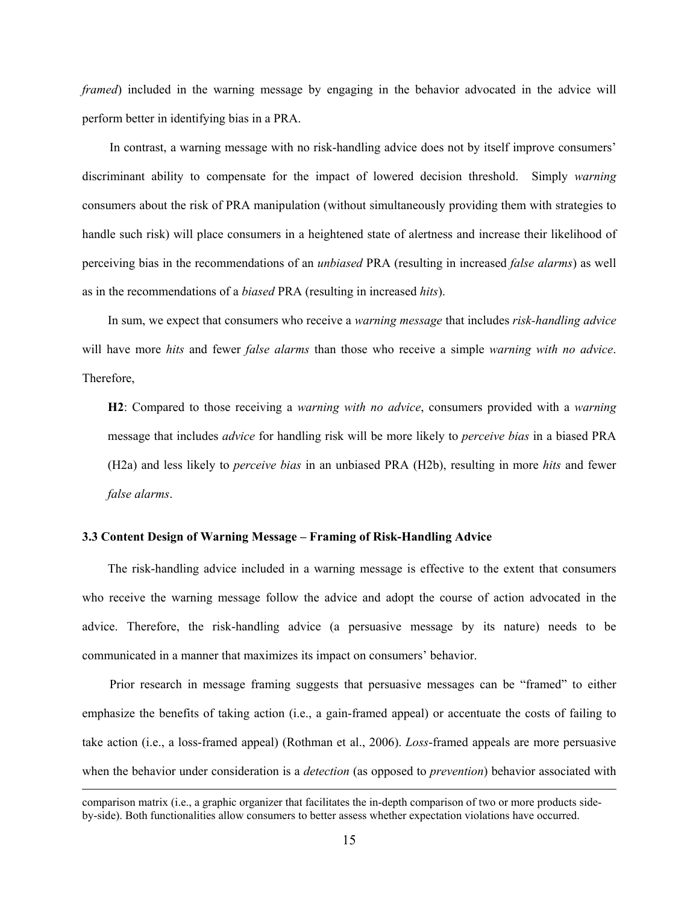*framed*) included in the warning message by engaging in the behavior advocated in the advice will perform better in identifying bias in a PRA.

In contrast, a warning message with no risk-handling advice does not by itself improve consumers' discriminant ability to compensate for the impact of lowered decision threshold. Simply *warning* consumers about the risk of PRA manipulation (without simultaneously providing them with strategies to handle such risk) will place consumers in a heightened state of alertness and increase their likelihood of perceiving bias in the recommendations of an *unbiased* PRA (resulting in increased *false alarms*) as well as in the recommendations of a *biased* PRA (resulting in increased *hits*).

In sum, we expect that consumers who receive a *warning message* that includes *risk-handling advice* will have more *hits* and fewer *false alarms* than those who receive a simple *warning with no advice*. Therefore,

**H2**: Compared to those receiving a *warning with no advice*, consumers provided with a *warning* message that includes *advice* for handling risk will be more likely to *perceive bias* in a biased PRA (H2a) and less likely to *perceive bias* in an unbiased PRA (H2b), resulting in more *hits* and fewer *false alarms*.

### **3.3 Content Design of Warning Message – Framing of Risk-Handling Advice**

The risk-handling advice included in a warning message is effective to the extent that consumers who receive the warning message follow the advice and adopt the course of action advocated in the advice. Therefore, the risk-handling advice (a persuasive message by its nature) needs to be communicated in a manner that maximizes its impact on consumers' behavior.

Prior research in message framing suggests that persuasive messages can be "framed" to either emphasize the benefits of taking action (i.e., a gain-framed appeal) or accentuate the costs of failing to take action (i.e., a loss-framed appeal) (Rothman et al., 2006). *Loss*-framed appeals are more persuasive when the behavior under consideration is a *detection* (as opposed to *prevention*) behavior associated with

comparison matrix (i.e., a graphic organizer that facilitates the in-depth comparison of two or more products sideby-side). Both functionalities allow consumers to better assess whether expectation violations have occurred.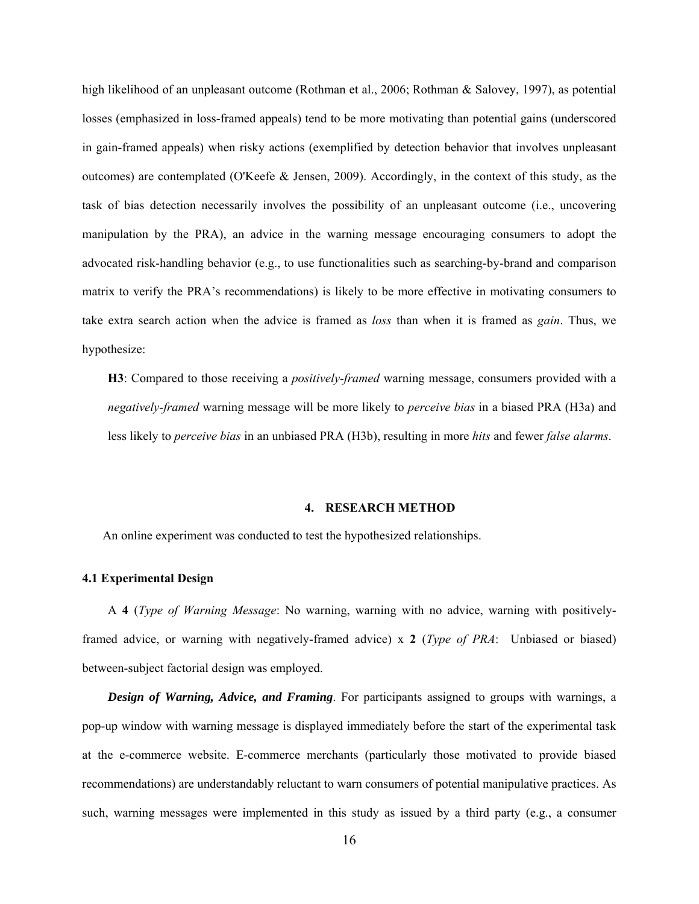high likelihood of an unpleasant outcome (Rothman et al., 2006; Rothman & Salovey, 1997), as potential losses (emphasized in loss-framed appeals) tend to be more motivating than potential gains (underscored in gain-framed appeals) when risky actions (exemplified by detection behavior that involves unpleasant outcomes) are contemplated (O'Keefe & Jensen, 2009). Accordingly, in the context of this study, as the task of bias detection necessarily involves the possibility of an unpleasant outcome (i.e., uncovering manipulation by the PRA), an advice in the warning message encouraging consumers to adopt the advocated risk-handling behavior (e.g., to use functionalities such as searching-by-brand and comparison matrix to verify the PRA's recommendations) is likely to be more effective in motivating consumers to take extra search action when the advice is framed as *loss* than when it is framed as *gain*. Thus, we hypothesize:

**H3**: Compared to those receiving a *positively-framed* warning message, consumers provided with a *negatively-framed* warning message will be more likely to *perceive bias* in a biased PRA (H3a) and less likely to *perceive bias* in an unbiased PRA (H3b), resulting in more *hits* and fewer *false alarms*.

### **4. RESEARCH METHOD**

An online experiment was conducted to test the hypothesized relationships.

### **4.1 Experimental Design**

 A **4** (*Type of Warning Message*: No warning, warning with no advice, warning with positivelyframed advice, or warning with negatively-framed advice) x **2** (*Type of PRA*: Unbiased or biased) between-subject factorial design was employed.

 *Design of Warning, Advice, and Framing*. For participants assigned to groups with warnings, a pop-up window with warning message is displayed immediately before the start of the experimental task at the e-commerce website. E-commerce merchants (particularly those motivated to provide biased recommendations) are understandably reluctant to warn consumers of potential manipulative practices. As such, warning messages were implemented in this study as issued by a third party (e.g., a consumer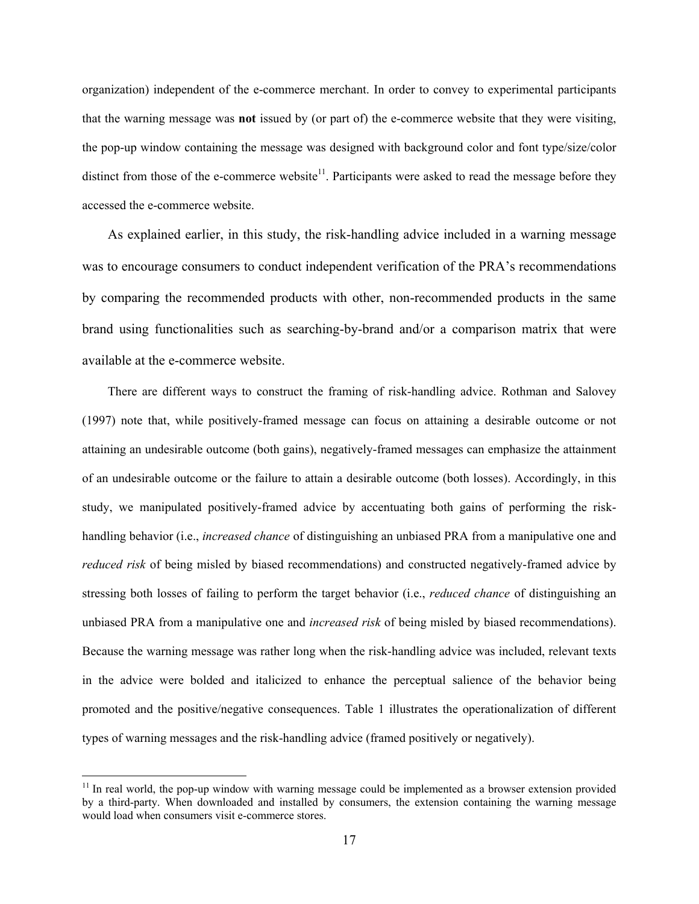organization) independent of the e-commerce merchant. In order to convey to experimental participants that the warning message was **not** issued by (or part of) the e-commerce website that they were visiting, the pop-up window containing the message was designed with background color and font type/size/color distinct from those of the e-commerce website<sup>11</sup>. Participants were asked to read the message before they accessed the e-commerce website.

As explained earlier, in this study, the risk-handling advice included in a warning message was to encourage consumers to conduct independent verification of the PRA's recommendations by comparing the recommended products with other, non-recommended products in the same brand using functionalities such as searching-by-brand and/or a comparison matrix that were available at the e-commerce website.

There are different ways to construct the framing of risk-handling advice. Rothman and Salovey (1997) note that, while positively-framed message can focus on attaining a desirable outcome or not attaining an undesirable outcome (both gains), negatively-framed messages can emphasize the attainment of an undesirable outcome or the failure to attain a desirable outcome (both losses). Accordingly, in this study, we manipulated positively-framed advice by accentuating both gains of performing the riskhandling behavior (i.e., *increased chance* of distinguishing an unbiased PRA from a manipulative one and *reduced risk* of being misled by biased recommendations) and constructed negatively-framed advice by stressing both losses of failing to perform the target behavior (i.e., *reduced chance* of distinguishing an unbiased PRA from a manipulative one and *increased risk* of being misled by biased recommendations). Because the warning message was rather long when the risk-handling advice was included, relevant texts in the advice were bolded and italicized to enhance the perceptual salience of the behavior being promoted and the positive/negative consequences. Table 1 illustrates the operationalization of different types of warning messages and the risk-handling advice (framed positively or negatively).

 $11$  In real world, the pop-up window with warning message could be implemented as a browser extension provided by a third-party. When downloaded and installed by consumers, the extension containing the warning message would load when consumers visit e-commerce stores.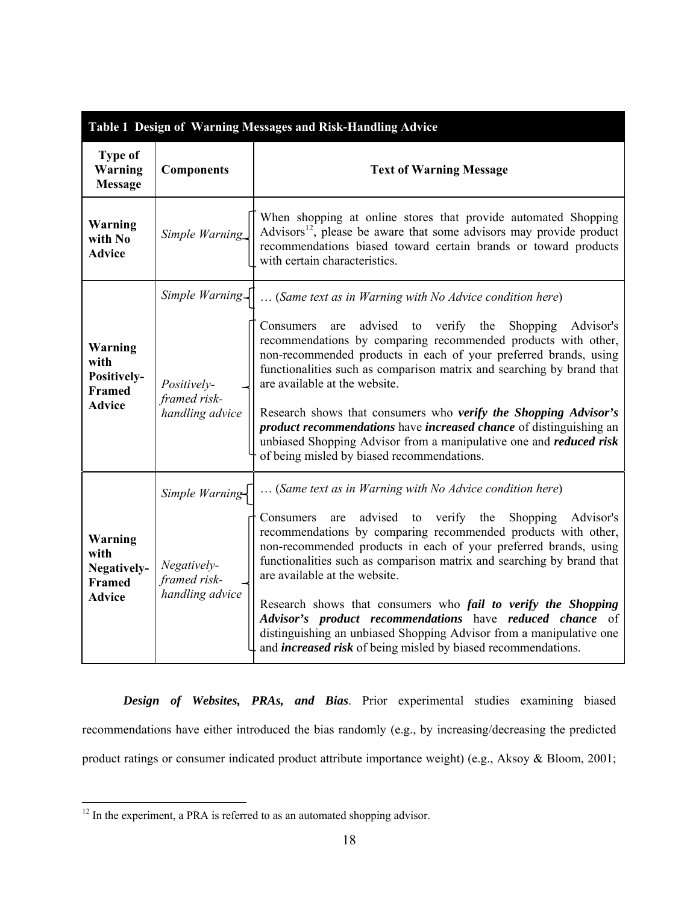| Table 1 Design of Warning Messages and Risk-Handling Advice             |                                                |                                                                                                                                                                                                                                                                                                                                                                                                                                                                                                                                                                                                      |  |  |  |  |  |
|-------------------------------------------------------------------------|------------------------------------------------|------------------------------------------------------------------------------------------------------------------------------------------------------------------------------------------------------------------------------------------------------------------------------------------------------------------------------------------------------------------------------------------------------------------------------------------------------------------------------------------------------------------------------------------------------------------------------------------------------|--|--|--|--|--|
| <b>Type of</b><br>Warning<br><b>Message</b>                             | <b>Components</b>                              | <b>Text of Warning Message</b>                                                                                                                                                                                                                                                                                                                                                                                                                                                                                                                                                                       |  |  |  |  |  |
| <b>Warning</b><br>with No<br><b>Advice</b>                              | Simple Warning                                 | When shopping at online stores that provide automated Shopping<br>Advisors <sup>12</sup> , please be aware that some advisors may provide product<br>recommendations biased toward certain brands or toward products<br>with certain characteristics.                                                                                                                                                                                                                                                                                                                                                |  |  |  |  |  |
|                                                                         | Simple Warning                                 | (Same text as in Warning with No Advice condition here)                                                                                                                                                                                                                                                                                                                                                                                                                                                                                                                                              |  |  |  |  |  |
| <b>Warning</b><br>with<br>Positively-<br><b>Framed</b><br><b>Advice</b> | Positively-<br>framed risk-<br>handling advice | advised to verify the<br>Shopping<br>Consumers<br>Advisor's<br>are<br>recommendations by comparing recommended products with other,<br>non-recommended products in each of your preferred brands, using<br>functionalities such as comparison matrix and searching by brand that<br>are available at the website.<br>Research shows that consumers who verify the Shopping Advisor's<br>product recommendations have increased chance of distinguishing an<br>unbiased Shopping Advisor from a manipulative one and <i>reduced risk</i><br>of being misled by biased recommendations.                |  |  |  |  |  |
|                                                                         | Simple Warning-                                | (Same text as in Warning with No Advice condition here)                                                                                                                                                                                                                                                                                                                                                                                                                                                                                                                                              |  |  |  |  |  |
| <b>Warning</b><br>with<br>Negatively-<br><b>Framed</b><br><b>Advice</b> | Negatively-<br>framed risk-<br>handling advice | advised to verify the<br>Shopping<br>Advisor's<br>Consumers<br>are<br>recommendations by comparing recommended products with other,<br>non-recommended products in each of your preferred brands, using<br>functionalities such as comparison matrix and searching by brand that<br>are available at the website.<br>Research shows that consumers who <i>fail to verify the Shopping</i><br>Advisor's product recommendations have reduced chance of<br>distinguishing an unbiased Shopping Advisor from a manipulative one<br>and <i>increased risk</i> of being misled by biased recommendations. |  |  |  |  |  |

 *Design of Websites, PRAs, and Bias*. Prior experimental studies examining biased recommendations have either introduced the bias randomly (e.g., by increasing/decreasing the predicted product ratings or consumer indicated product attribute importance weight) (e.g., Aksoy & Bloom, 2001;

 $12$  In the experiment, a PRA is referred to as an automated shopping advisor.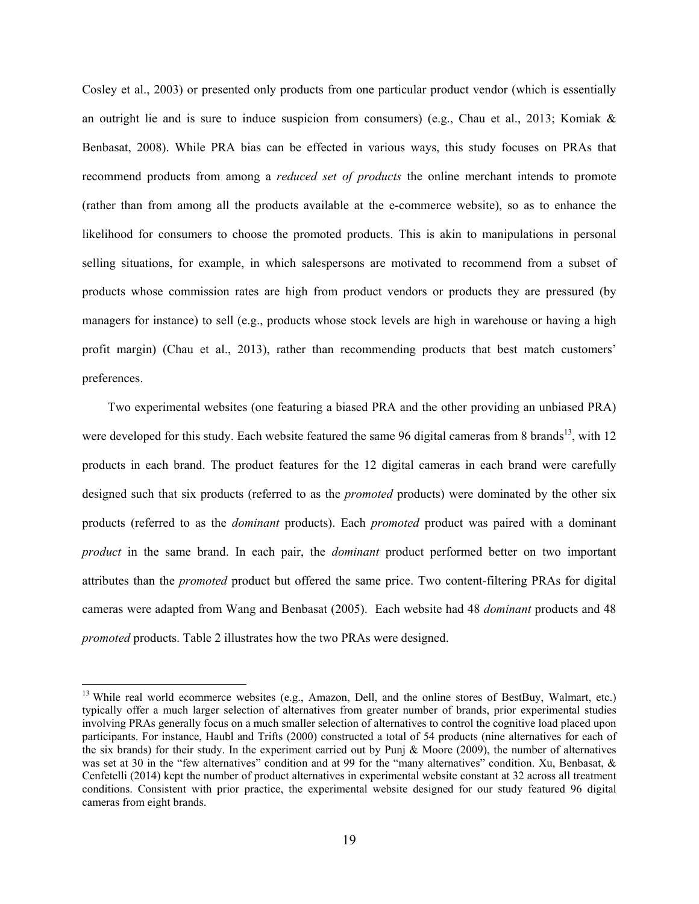Cosley et al., 2003) or presented only products from one particular product vendor (which is essentially an outright lie and is sure to induce suspicion from consumers) (e.g., Chau et al., 2013; Komiak  $\&$ Benbasat, 2008). While PRA bias can be effected in various ways, this study focuses on PRAs that recommend products from among a *reduced set of products* the online merchant intends to promote (rather than from among all the products available at the e-commerce website), so as to enhance the likelihood for consumers to choose the promoted products. This is akin to manipulations in personal selling situations, for example, in which salespersons are motivated to recommend from a subset of products whose commission rates are high from product vendors or products they are pressured (by managers for instance) to sell (e.g., products whose stock levels are high in warehouse or having a high profit margin) (Chau et al., 2013), rather than recommending products that best match customers' preferences.

 Two experimental websites (one featuring a biased PRA and the other providing an unbiased PRA) were developed for this study. Each website featured the same 96 digital cameras from 8 brands<sup>13</sup>, with 12 products in each brand. The product features for the 12 digital cameras in each brand were carefully designed such that six products (referred to as the *promoted* products) were dominated by the other six products (referred to as the *dominant* products). Each *promoted* product was paired with a dominant *product* in the same brand. In each pair, the *dominant* product performed better on two important attributes than the *promoted* product but offered the same price. Two content-filtering PRAs for digital cameras were adapted from Wang and Benbasat (2005). Each website had 48 *dominant* products and 48 *promoted* products. Table 2 illustrates how the two PRAs were designed.

<sup>&</sup>lt;sup>13</sup> While real world ecommerce websites (e.g., Amazon, Dell, and the online stores of BestBuy, Walmart, etc.) typically offer a much larger selection of alternatives from greater number of brands, prior experimental studies involving PRAs generally focus on a much smaller selection of alternatives to control the cognitive load placed upon participants. For instance, Haubl and Trifts (2000) constructed a total of 54 products (nine alternatives for each of the six brands) for their study. In the experiment carried out by Punj & Moore (2009), the number of alternatives was set at 30 in the "few alternatives" condition and at 99 for the "many alternatives" condition. Xu, Benbasat, & Cenfetelli (2014) kept the number of product alternatives in experimental website constant at 32 across all treatment conditions. Consistent with prior practice, the experimental website designed for our study featured 96 digital cameras from eight brands.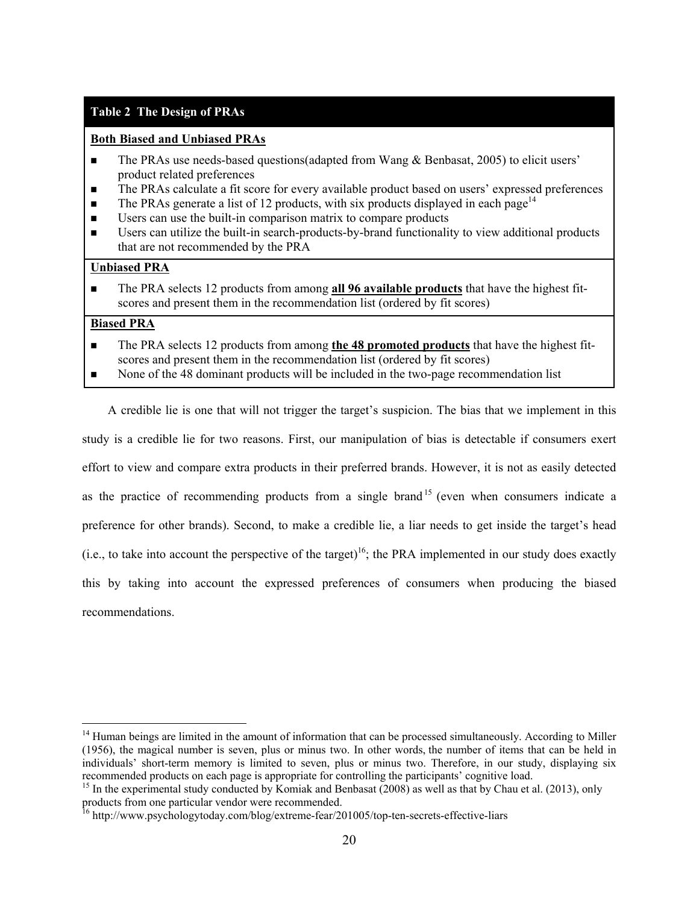# **Table 2 The Design of PRAs**

## **Both Biased and Unbiased PRAs**

- $\blacksquare$  The PRAs use needs-based questions(adapted from Wang & Benbasat, 2005) to elicit users' product related preferences
- The PRAs calculate a fit score for every available product based on users' expressed preferences
- The PRAs generate a list of 12 products, with six products displayed in each page<sup>14</sup>
- Users can use the built-in comparison matrix to compare products
- Users can utilize the built-in search-products-by-brand functionality to view additional products that are not recommended by the PRA

## **Unbiased PRA**

 The PRA selects 12 products from among **all 96 available products** that have the highest fitscores and present them in the recommendation list (ordered by fit scores)

# **Biased PRA**

 $\overline{a}$ 

- The PRA selects 12 products from among **the 48 promoted products** that have the highest fitscores and present them in the recommendation list (ordered by fit scores)
- None of the 48 dominant products will be included in the two-page recommendation list

 A credible lie is one that will not trigger the target's suspicion. The bias that we implement in this study is a credible lie for two reasons. First, our manipulation of bias is detectable if consumers exert effort to view and compare extra products in their preferred brands. However, it is not as easily detected as the practice of recommending products from a single brand<sup>15</sup> (even when consumers indicate a preference for other brands). Second, to make a credible lie, a liar needs to get inside the target's head (i.e., to take into account the perspective of the target)<sup>16</sup>; the PRA implemented in our study does exactly this by taking into account the expressed preferences of consumers when producing the biased recommendations.

<sup>&</sup>lt;sup>14</sup> Human beings are limited in the amount of information that can be processed simultaneously. According to Miller (1956), the magical number is seven, plus or minus two. In other words, the number of items that can be held in individuals' short-term memory is limited to seven, plus or minus two. Therefore, in our study, displaying six recommended products on each page is appropriate for controlling the participants' cognitive load.

<sup>&</sup>lt;sup>15</sup> In the experimental study conducted by Komiak and Benbasat (2008) as well as that by Chau et al. (2013), only products from one particular vendor were recommended.

<sup>&</sup>lt;sup>16</sup> http://www.psychologytoday.com/blog/extreme-fear/201005/top-ten-secrets-effective-liars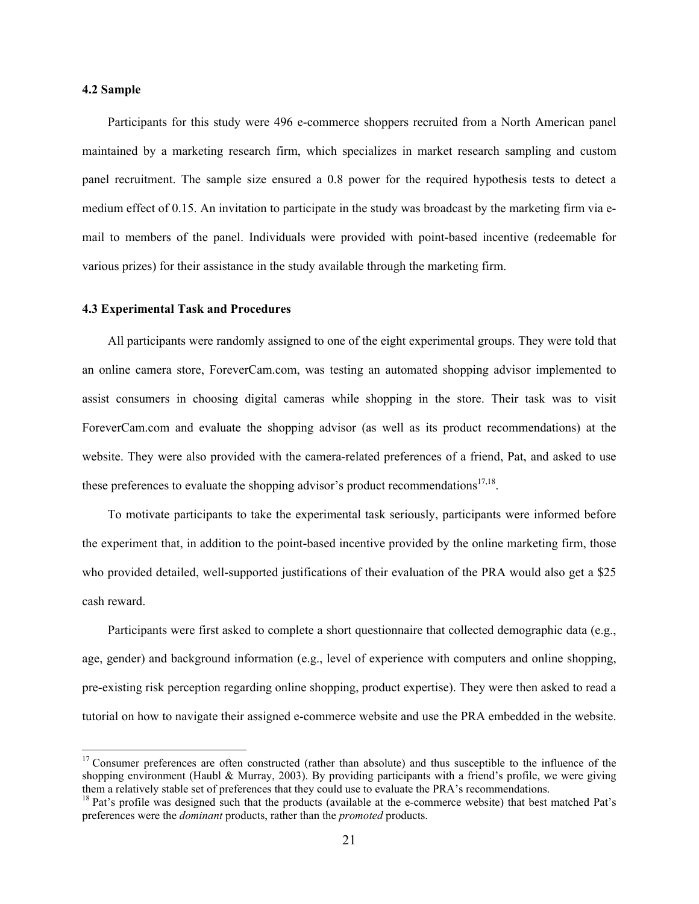### **4.2 Sample**

 $\overline{a}$ 

Participants for this study were 496 e-commerce shoppers recruited from a North American panel maintained by a marketing research firm, which specializes in market research sampling and custom panel recruitment. The sample size ensured a 0.8 power for the required hypothesis tests to detect a medium effect of 0.15. An invitation to participate in the study was broadcast by the marketing firm via email to members of the panel. Individuals were provided with point-based incentive (redeemable for various prizes) for their assistance in the study available through the marketing firm.

### **4.3 Experimental Task and Procedures**

All participants were randomly assigned to one of the eight experimental groups. They were told that an online camera store, ForeverCam.com, was testing an automated shopping advisor implemented to assist consumers in choosing digital cameras while shopping in the store. Their task was to visit ForeverCam.com and evaluate the shopping advisor (as well as its product recommendations) at the website. They were also provided with the camera-related preferences of a friend, Pat, and asked to use these preferences to evaluate the shopping advisor's product recommendations<sup>17,18</sup>.

To motivate participants to take the experimental task seriously, participants were informed before the experiment that, in addition to the point-based incentive provided by the online marketing firm, those who provided detailed, well-supported justifications of their evaluation of the PRA would also get a \$25 cash reward.

Participants were first asked to complete a short questionnaire that collected demographic data (e.g., age, gender) and background information (e.g., level of experience with computers and online shopping, pre-existing risk perception regarding online shopping, product expertise). They were then asked to read a tutorial on how to navigate their assigned e-commerce website and use the PRA embedded in the website.

 $17$  Consumer preferences are often constructed (rather than absolute) and thus susceptible to the influence of the shopping environment (Haubl & Murray, 2003). By providing participants with a friend's profile, we were giving them a relatively stable set of preferences that they could use to evaluate the PRA's recommendations.

<sup>&</sup>lt;sup>18</sup> Pat's profile was designed such that the products (available at the e-commerce website) that best matched Pat's preferences were the *dominant* products, rather than the *promoted* products.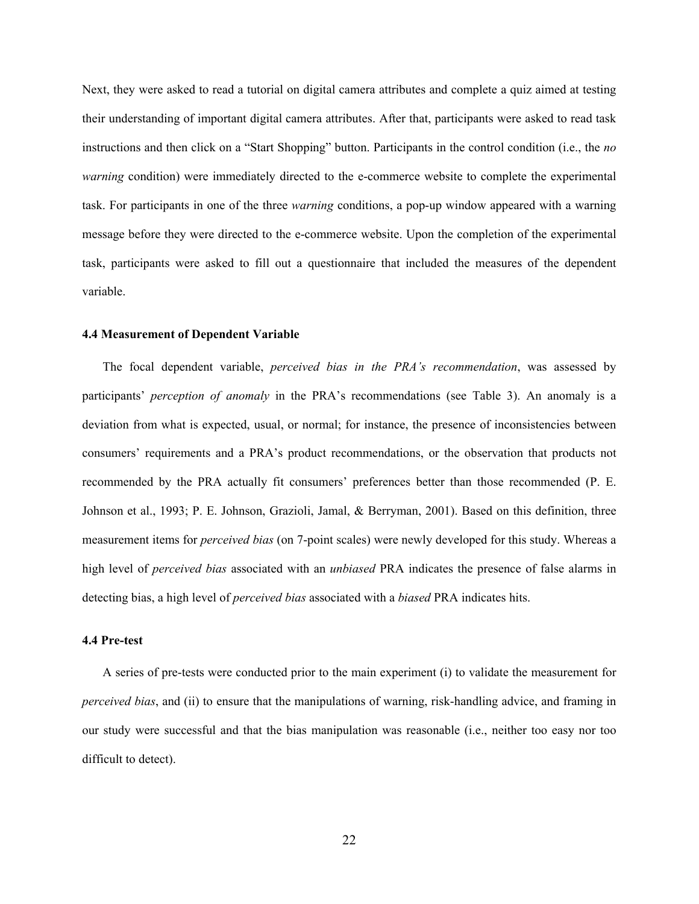Next, they were asked to read a tutorial on digital camera attributes and complete a quiz aimed at testing their understanding of important digital camera attributes. After that, participants were asked to read task instructions and then click on a "Start Shopping" button. Participants in the control condition (i.e., the *no warning* condition) were immediately directed to the e-commerce website to complete the experimental task. For participants in one of the three *warning* conditions, a pop-up window appeared with a warning message before they were directed to the e-commerce website. Upon the completion of the experimental task, participants were asked to fill out a questionnaire that included the measures of the dependent variable.

#### **4.4 Measurement of Dependent Variable**

The focal dependent variable, *perceived bias in the PRA's recommendation*, was assessed by participants' *perception of anomaly* in the PRA's recommendations (see Table 3). An anomaly is a deviation from what is expected, usual, or normal; for instance, the presence of inconsistencies between consumers' requirements and a PRA's product recommendations, or the observation that products not recommended by the PRA actually fit consumers' preferences better than those recommended (P. E. Johnson et al., 1993; P. E. Johnson, Grazioli, Jamal, & Berryman, 2001). Based on this definition, three measurement items for *perceived bias* (on 7-point scales) were newly developed for this study. Whereas a high level of *perceived bias* associated with an *unbiased* PRA indicates the presence of false alarms in detecting bias, a high level of *perceived bias* associated with a *biased* PRA indicates hits.

## **4.4 Pre-test**

A series of pre-tests were conducted prior to the main experiment (i) to validate the measurement for *perceived bias*, and (ii) to ensure that the manipulations of warning, risk-handling advice, and framing in our study were successful and that the bias manipulation was reasonable (i.e., neither too easy nor too difficult to detect).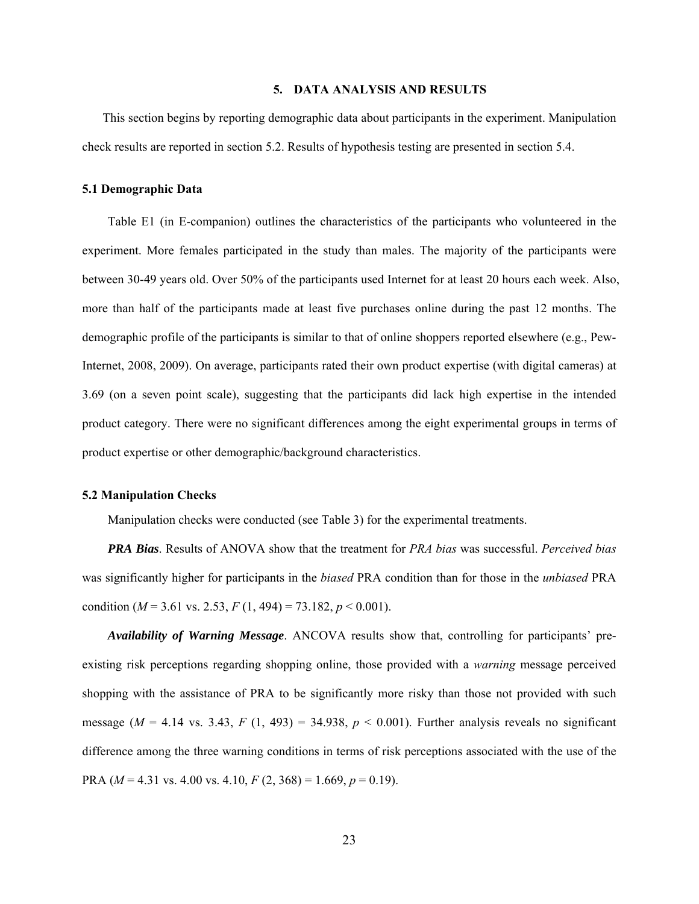### **5. DATA ANALYSIS AND RESULTS**

This section begins by reporting demographic data about participants in the experiment. Manipulation check results are reported in section 5.2. Results of hypothesis testing are presented in section 5.4.

### **5.1 Demographic Data**

Table E1 (in E-companion) outlines the characteristics of the participants who volunteered in the experiment. More females participated in the study than males. The majority of the participants were between 30-49 years old. Over 50% of the participants used Internet for at least 20 hours each week. Also, more than half of the participants made at least five purchases online during the past 12 months. The demographic profile of the participants is similar to that of online shoppers reported elsewhere (e.g., Pew-Internet, 2008, 2009). On average, participants rated their own product expertise (with digital cameras) at 3.69 (on a seven point scale), suggesting that the participants did lack high expertise in the intended product category. There were no significant differences among the eight experimental groups in terms of product expertise or other demographic/background characteristics.

### **5.2 Manipulation Checks**

Manipulation checks were conducted (see Table 3) for the experimental treatments.

*PRA Bias*. Results of ANOVA show that the treatment for *PRA bias* was successful. *Perceived bias*  was significantly higher for participants in the *biased* PRA condition than for those in the *unbiased* PRA condition ( $M = 3.61$  vs. 2.53,  $F(1, 494) = 73.182$ ,  $p < 0.001$ ).

*Availability of Warning Message*. ANCOVA results show that, controlling for participants' preexisting risk perceptions regarding shopping online, those provided with a *warning* message perceived shopping with the assistance of PRA to be significantly more risky than those not provided with such message ( $M = 4.14$  vs. 3.43,  $F(1, 493) = 34.938$ ,  $p < 0.001$ ). Further analysis reveals no significant difference among the three warning conditions in terms of risk perceptions associated with the use of the PRA ( $M = 4.31$  vs. 4.00 vs. 4.10,  $F(2, 368) = 1.669$ ,  $p = 0.19$ ).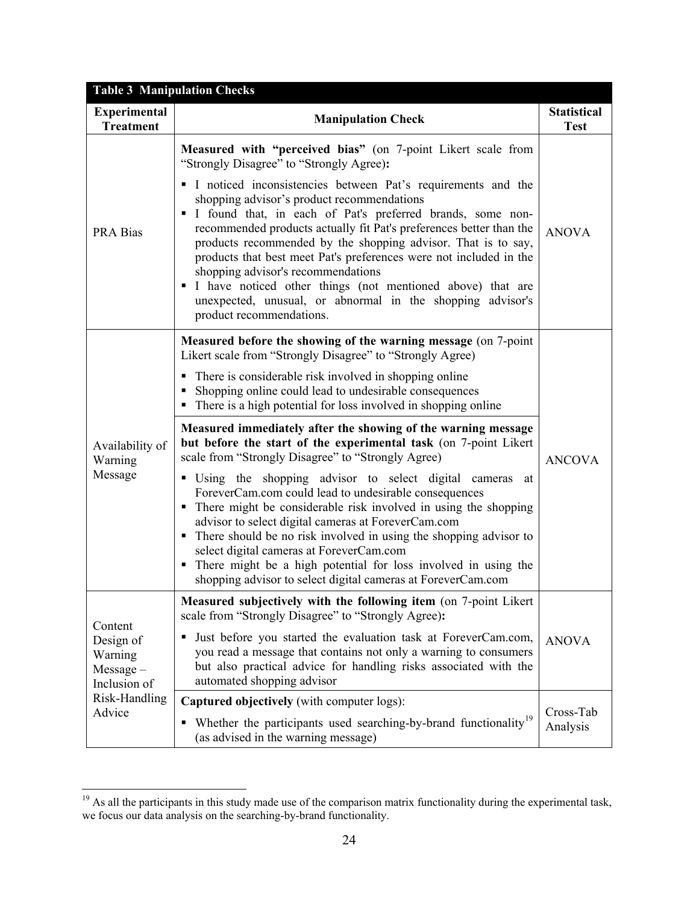| <b>Table 3 Manipulation Checks</b>                             |                                                                                                                                                                                                                                                                                                                                                                                                                                                                                                                                                                                                                                                                                                                                                                                                                                                                                                                                                                                                                                |                                   |  |  |  |  |
|----------------------------------------------------------------|--------------------------------------------------------------------------------------------------------------------------------------------------------------------------------------------------------------------------------------------------------------------------------------------------------------------------------------------------------------------------------------------------------------------------------------------------------------------------------------------------------------------------------------------------------------------------------------------------------------------------------------------------------------------------------------------------------------------------------------------------------------------------------------------------------------------------------------------------------------------------------------------------------------------------------------------------------------------------------------------------------------------------------|-----------------------------------|--|--|--|--|
| <b>Experimental</b><br><b>Treatment</b>                        | <b>Manipulation Check</b>                                                                                                                                                                                                                                                                                                                                                                                                                                                                                                                                                                                                                                                                                                                                                                                                                                                                                                                                                                                                      | <b>Statistical</b><br><b>Test</b> |  |  |  |  |
| <b>PRA Bias</b>                                                | Measured with "perceived bias" (on 7-point Likert scale from<br>"Strongly Disagree" to "Strongly Agree):<br>I noticed inconsistencies between Pat's requirements and the<br>shopping advisor's product recommendations<br>I found that, in each of Pat's preferred brands, some non-<br>recommended products actually fit Pat's preferences better than the<br>products recommended by the shopping advisor. That is to say,<br>products that best meet Pat's preferences were not included in the<br>shopping advisor's recommendations<br>I have noticed other things (not mentioned above) that are<br>unexpected, unusual, or abnormal in the shopping advisor's<br>product recommendations.                                                                                                                                                                                                                                                                                                                               | <b>ANOVA</b>                      |  |  |  |  |
| Availability of<br>Warning<br>Message                          | Measured before the showing of the warning message (on 7-point<br>Likert scale from "Strongly Disagree" to "Strongly Agree)<br>• There is considerable risk involved in shopping online<br>• Shopping online could lead to undesirable consequences<br>• There is a high potential for loss involved in shopping online<br>Measured immediately after the showing of the warning message<br>but before the start of the experimental task (on 7-point Likert<br>scale from "Strongly Disagree" to "Strongly Agree)<br>• Using the shopping advisor to select digital cameras<br>at<br>ForeverCam.com could lead to undesirable consequences<br>• There might be considerable risk involved in using the shopping<br>advisor to select digital cameras at ForeverCam.com<br>• There should be no risk involved in using the shopping advisor to<br>select digital cameras at ForeverCam.com<br>• There might be a high potential for loss involved in using the<br>shopping advisor to select digital cameras at ForeverCam.com | <b>ANCOVA</b>                     |  |  |  |  |
| Content<br>Design of<br>Warning<br>$Message -$<br>Inclusion of | Measured subjectively with the following item (on 7-point Likert)<br>scale from "Strongly Disagree" to "Strongly Agree):<br>Just before you started the evaluation task at ForeverCam.com,<br>you read a message that contains not only a warning to consumers<br>but also practical advice for handling risks associated with the<br>automated shopping advisor                                                                                                                                                                                                                                                                                                                                                                                                                                                                                                                                                                                                                                                               | <b>ANOVA</b>                      |  |  |  |  |
| Risk-Handling<br>Advice                                        | <b>Captured objectively</b> (with computer logs):<br>Whether the participants used searching-by-brand functionality <sup>19</sup><br>٠<br>(as advised in the warning message)                                                                                                                                                                                                                                                                                                                                                                                                                                                                                                                                                                                                                                                                                                                                                                                                                                                  | Cross-Tab<br>Analysis             |  |  |  |  |

 $19$  As all the participants in this study made use of the comparison matrix functionality during the experimental task, we focus our data analysis on the searching-by-brand functionality.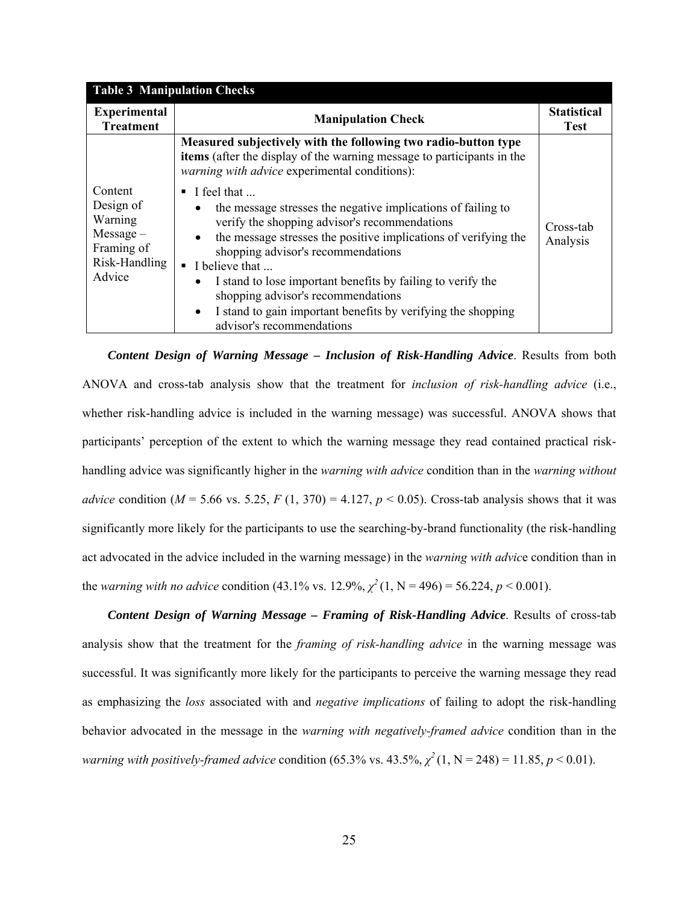| <b>Table 3 Manipulation Checks</b>                                                      |                                                                                                                                                                                                                                                                                                                                                                                                                                                                                                                                   |                                   |  |  |  |
|-----------------------------------------------------------------------------------------|-----------------------------------------------------------------------------------------------------------------------------------------------------------------------------------------------------------------------------------------------------------------------------------------------------------------------------------------------------------------------------------------------------------------------------------------------------------------------------------------------------------------------------------|-----------------------------------|--|--|--|
| <b>Experimental</b><br><b>Treatment</b>                                                 | <b>Manipulation Check</b>                                                                                                                                                                                                                                                                                                                                                                                                                                                                                                         | <b>Statistical</b><br><b>Test</b> |  |  |  |
|                                                                                         | Measured subjectively with the following two radio-button type<br>items (after the display of the warning message to participants in the<br><i>warning with advice</i> experimental conditions):                                                                                                                                                                                                                                                                                                                                  |                                   |  |  |  |
| Content<br>Design of<br>Warning<br>$Message -$<br>Framing of<br>Risk-Handling<br>Advice | I feel that<br>٠<br>the message stresses the negative implications of failing to<br>$\bullet$<br>verify the shopping advisor's recommendations<br>the message stresses the positive implications of verifying the<br>$\bullet$<br>shopping advisor's recommendations<br>$\blacksquare$ I believe that<br>I stand to lose important benefits by failing to verify the<br>$\bullet$<br>shopping advisor's recommendations<br>I stand to gain important benefits by verifying the shopping<br>$\bullet$<br>advisor's recommendations | Cross-tab<br>Analysis             |  |  |  |

*Content Design of Warning Message – Inclusion of Risk-Handling Advice*. Results from both ANOVA and cross-tab analysis show that the treatment for *inclusion of risk-handling advice* (i.e., whether risk-handling advice is included in the warning message) was successful. ANOVA shows that participants' perception of the extent to which the warning message they read contained practical riskhandling advice was significantly higher in the *warning with advice* condition than in the *warning without advice* condition ( $M = 5.66$  vs. 5.25,  $F(1, 370) = 4.127$ ,  $p < 0.05$ ). Cross-tab analysis shows that it was significantly more likely for the participants to use the searching-by-brand functionality (the risk-handling act advocated in the advice included in the warning message) in the *warning with advic*e condition than in the *warning with no advice* condition (43.1% vs. 12.9%,  $\chi^2(1, N = 496) = 56.224$ ,  $p < 0.001$ ).

*Content Design of Warning Message – Framing of Risk-Handling Advice*. Results of cross-tab analysis show that the treatment for the *framing of risk-handling advice* in the warning message was successful. It was significantly more likely for the participants to perceive the warning message they read as emphasizing the *loss* associated with and *negative implications* of failing to adopt the risk-handling behavior advocated in the message in the *warning with negatively-framed advice* condition than in the *warning with positively-framed advice* condition (65.3% vs. 43.5%,  $\chi^2(1, N = 248) = 11.85$ ,  $p < 0.01$ ).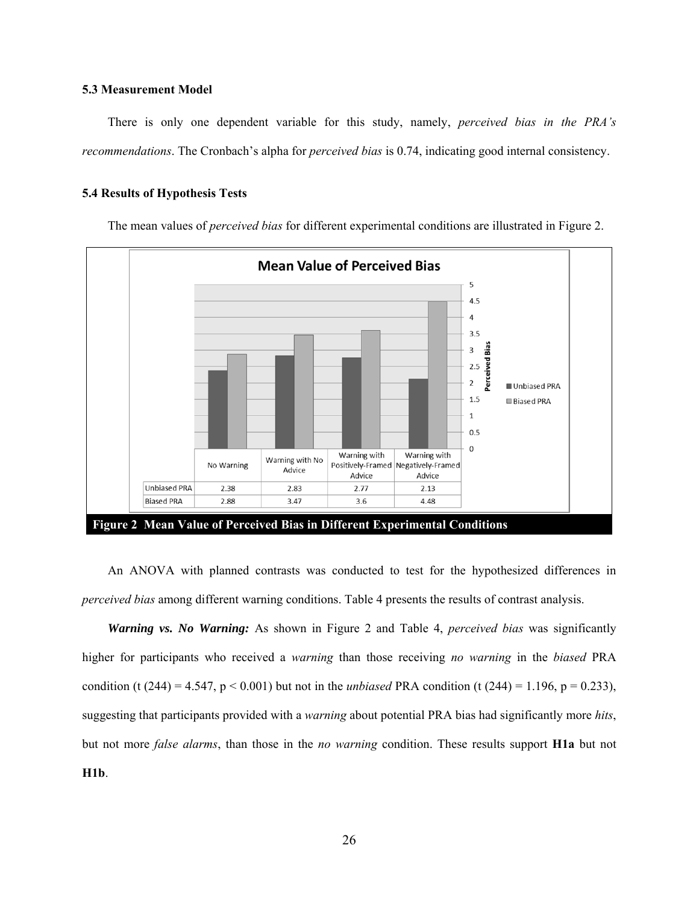### **5.3 Measurement Model**

There is only one dependent variable for this study, namely, *perceived bias in the PRA's recommendations*. The Cronbach's alpha for *perceived bias* is 0.74, indicating good internal consistency.

### **5.4 Results of Hypothesis Tests**

The mean values of *perceived bias* for different experimental conditions are illustrated in Figure 2.



An ANOVA with planned contrasts was conducted to test for the hypothesized differences in *perceived bias* among different warning conditions. Table 4 presents the results of contrast analysis.

*Warning vs. No Warning:* As shown in Figure 2 and Table 4, *perceived bias* was significantly higher for participants who received a *warning* than those receiving *no warning* in the *biased* PRA condition (t (244) = 4.547,  $p < 0.001$ ) but not in the *unbiased* PRA condition (t (244) = 1.196,  $p = 0.233$ ), suggesting that participants provided with a *warning* about potential PRA bias had significantly more *hits*, but not more *false alarms*, than those in the *no warning* condition. These results support **H1a** but not **H1b**.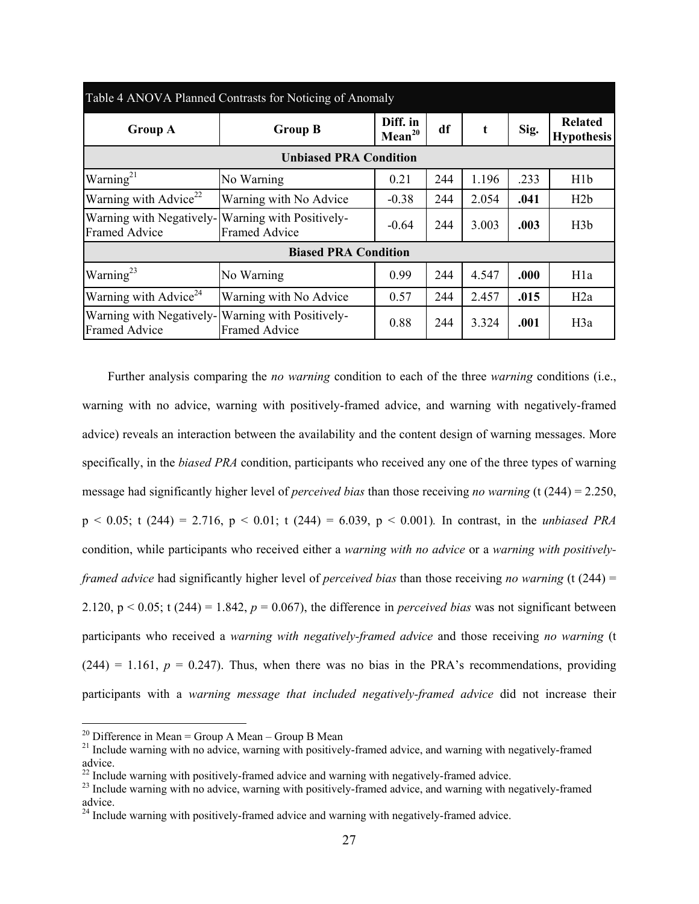| Table 4 ANOVA Planned Contrasts for Noticing of Anomaly |                                                             |                                |     |       |      |                                     |  |
|---------------------------------------------------------|-------------------------------------------------------------|--------------------------------|-----|-------|------|-------------------------------------|--|
| <b>Group A</b>                                          | <b>Group B</b>                                              | Diff. in<br>Mean <sup>20</sup> | df  | t     | Sig. | <b>Related</b><br><b>Hypothesis</b> |  |
| <b>Unbiased PRA Condition</b>                           |                                                             |                                |     |       |      |                                     |  |
| Warning <sup>21</sup>                                   | No Warning                                                  | 0.21                           | 244 | 1.196 | .233 | H1b                                 |  |
| Warning with Advice <sup>22</sup>                       | Warning with No Advice                                      | $-0.38$                        | 244 | 2.054 | .041 | H2b                                 |  |
| Warning with Negatively-<br><b>Framed Advice</b>        | Warning with Positively-<br>$-0.64$<br><b>Framed Advice</b> |                                | 244 | 3.003 | .003 | H3b                                 |  |
| <b>Biased PRA Condition</b>                             |                                                             |                                |     |       |      |                                     |  |
| Warning <sup>23</sup>                                   | No Warning                                                  | 0.99                           | 244 | 4.547 | .000 | H <sub>1</sub> a                    |  |
| Warning with Advice <sup>24</sup>                       | Warning with No Advice                                      | 0.57                           | 244 | 2.457 | .015 | H2a                                 |  |
| Warning with Negatively-<br><b>Framed Advice</b>        | Warning with Positively-<br><b>Framed Advice</b>            | 0.88                           | 244 | 3.324 | .001 | H3a                                 |  |

Further analysis comparing the *no warning* condition to each of the three *warning* conditions (i.e., warning with no advice, warning with positively-framed advice, and warning with negatively-framed advice) reveals an interaction between the availability and the content design of warning messages. More specifically, in the *biased PRA* condition, participants who received any one of the three types of warning message had significantly higher level of *perceived bias* than those receiving *no warning* (t (244) = 2.250, p < 0.05; t (244) = 2.716, p < 0.01; t (244) = 6.039, p < 0.001)*.* In contrast, in the *unbiased PRA* condition, while participants who received either a *warning with no advice* or a *warning with positivelyframed advice* had significantly higher level of *perceived bias* than those receiving *no warning* (t (244) = 2.120,  $p < 0.05$ ; t (244) = 1.842,  $p = 0.067$ ), the difference in *perceived bias* was not significant between participants who received a *warning with negatively-framed advice* and those receiving *no warning* (t  $(244) = 1.161$ ,  $p = 0.247$ ). Thus, when there was no bias in the PRA's recommendations, providing participants with a *warning message that included negatively-framed advice* did not increase their

<sup>&</sup>lt;sup>20</sup> Difference in Mean = Group A Mean – Group B Mean

 $^{21}$  Include warning with no advice, warning with positively-framed advice, and warning with negatively-framed advice.

 $^{22}$  Include warning with positively-framed advice and warning with negatively-framed advice.

<sup>&</sup>lt;sup>23</sup> Include warning with no advice, warning with positively-framed advice, and warning with negatively-framed advice.

 $24$  Include warning with positively-framed advice and warning with negatively-framed advice.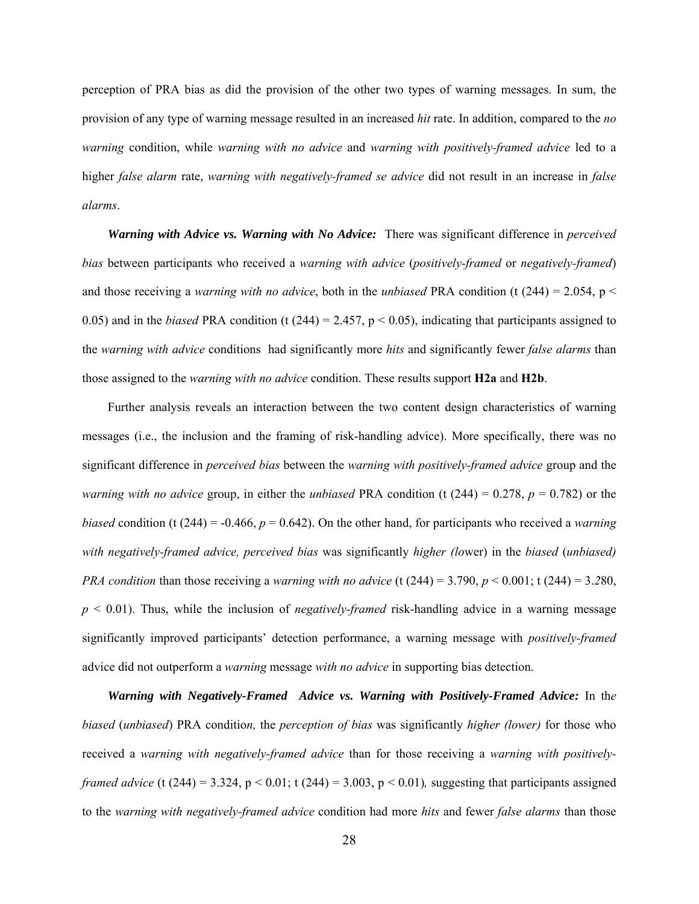perception of PRA bias as did the provision of the other two types of warning messages. In sum, the provision of any type of warning message resulted in an increased *hit* rate. In addition, compared to the *no warning* condition, while *warning with no advice* and *warning with positively-framed advice* led to a higher *false alarm* rate, *warning with negatively-framed se advice* did not result in an increase in *false alarms*.

*Warning with Advice vs. Warning with No Advice:* There was significant difference in *perceived bias* between participants who received a *warning with advice* (*positively-framed* or *negatively-framed*) and those receiving a *warning with no advice*, both in the *unbiased* PRA condition (t  $(244) = 2.054$ , p < 0.05) and in the *biased* PRA condition (t (244) = 2.457,  $p < 0.05$ ), indicating that participants assigned to the *warning with advice* conditions had significantly more *hits* and significantly fewer *false alarms* than those assigned to the *warning with no advice* condition. These results support **H2a** and **H2b**.

Further analysis reveals an interaction between the two content design characteristics of warning messages (i.e., the inclusion and the framing of risk-handling advice). More specifically, there was no significant difference in *perceived bias* between the *warning with positively-framed advice* group and the *warning with no advice* group, in either the *unbiased* PRA condition (t (244) = 0.278, *p* = 0.782) or the *biased* condition (t (244) = -0.466,  $p = 0.642$ ). On the other hand, for participants who received a *warning with negatively-framed advice, perceived bias* was significantly *higher (lo*wer) in the *biased* (*unbiased) PRA condition* than those receiving a *warning with no advice* (t (244) = 3.790,  $p < 0.001$ ; t (244) = 3.280,  $p \leq 0.01$ ). Thus, while the inclusion of *negatively-framed* risk-handling advice in a warning message significantly improved participants' detection performance, a warning message with *positively-framed*  advice did not outperform a *warning* message *with no advice* in supporting bias detection.

*Warning with Negatively-Framed Advice vs. Warning with Positively-Framed Advice:* In th*e biased* (*unbiased*) PRA conditio*n,* the *perception of bias* was significantly *higher (lower)* for those who received a *warning with negatively-framed advice* than for those receiving a *warning with positivelyframed advice* (t (244) = 3.324, p < 0.01; t (244) = 3.003, p < 0.01), suggesting that participants assigned to the *warning with negatively-framed advice* condition had more *hits* and fewer *false alarms* than those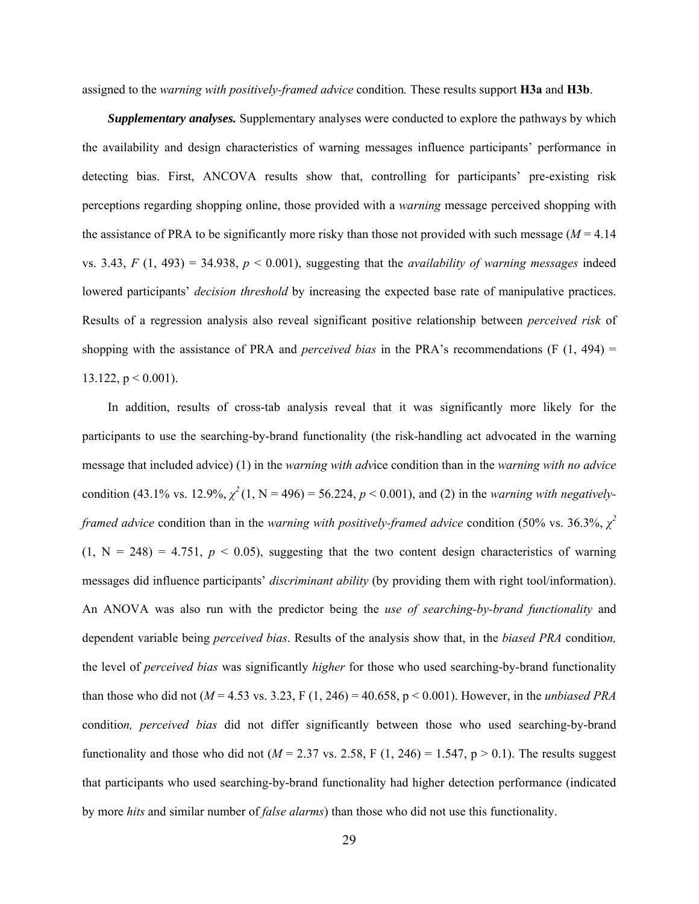assigned to the *warning with positively-framed advice* condition*.* These results support **H3a** and **H3b**.

*Supplementary analyses.* Supplementary analyses were conducted to explore the pathways by which the availability and design characteristics of warning messages influence participants' performance in detecting bias. First, ANCOVA results show that, controlling for participants' pre-existing risk perceptions regarding shopping online, those provided with a *warning* message perceived shopping with the assistance of PRA to be significantly more risky than those not provided with such message  $(M = 4.14)$ vs. 3.43,  $F(1, 493) = 34.938$ ,  $p < 0.001$ ), suggesting that the *availability of warning messages* indeed lowered participants' *decision threshold* by increasing the expected base rate of manipulative practices. Results of a regression analysis also reveal significant positive relationship between *perceived risk* of shopping with the assistance of PRA and *perceived bias* in the PRA's recommendations (F (1, 494) = 13.122,  $p < 0.001$ ).

In addition, results of cross-tab analysis reveal that it was significantly more likely for the participants to use the searching-by-brand functionality (the risk-handling act advocated in the warning message that included advice) (1) in the *warning with adv*ice condition than in the *warning with no advice* condition (43.1% vs. 12.9%,  $\chi^2(1, N = 496) = 56.224$ ,  $p < 0.001$ ), and (2) in the *warning with negativelyframed advice* condition than in the *warning with positively-framed advice* condition (50% vs. 36.3%, *χ 2*  $(1, N = 248) = 4.751$ ,  $p < 0.05$ ), suggesting that the two content design characteristics of warning messages did influence participants' *discriminant ability* (by providing them with right tool/information). An ANOVA was also run with the predictor being the *use of searching-by-brand functionality* and dependent variable being *perceived bias*. Results of the analysis show that, in the *biased PRA* conditio*n,*  the level of *perceived bias* was significantly *higher* for those who used searching-by-brand functionality than those who did not ( $M = 4.53$  vs. 3.23, F (1, 246) = 40.658, p < 0.001). However, in the *unbiased PRA* conditio*n, perceived bias* did not differ significantly between those who used searching-by-brand functionality and those who did not ( $M = 2.37$  vs. 2.58, F (1, 246) = 1.547, p > 0.1). The results suggest that participants who used searching-by-brand functionality had higher detection performance (indicated by more *hits* and similar number of *false alarms*) than those who did not use this functionality.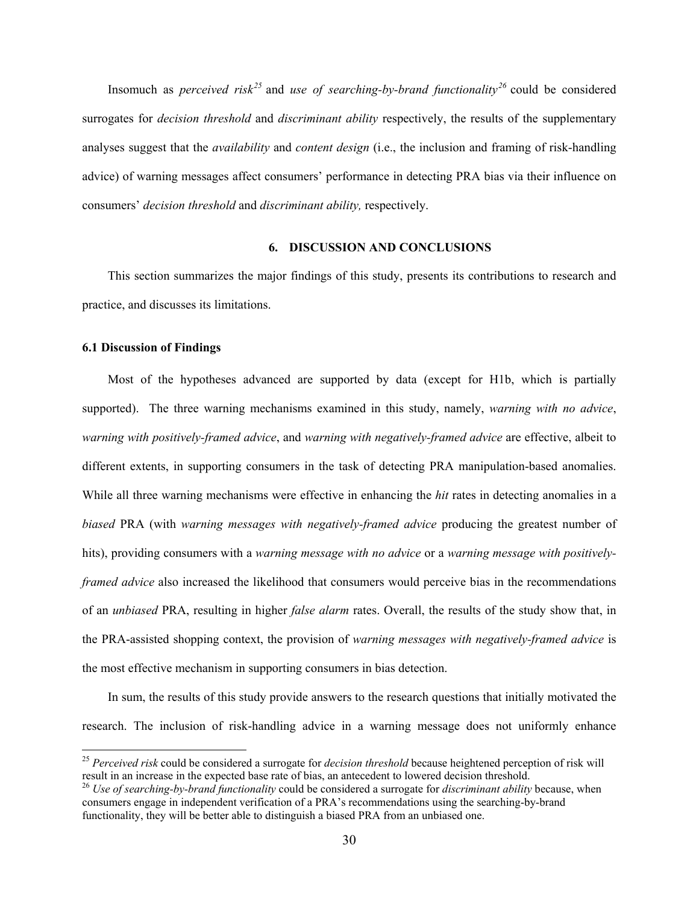Insomuch as *perceived risk<sup>25</sup>* and *use of searching-by-brand functionality<sup>26</sup>* could be considered surrogates for *decision threshold* and *discriminant ability* respectively, the results of the supplementary analyses suggest that the *availability* and *content design* (i.e., the inclusion and framing of risk-handling advice) of warning messages affect consumers' performance in detecting PRA bias via their influence on consumers' *decision threshold* and *discriminant ability,* respectively.

## **6. DISCUSSION AND CONCLUSIONS**

This section summarizes the major findings of this study, presents its contributions to research and practice, and discusses its limitations.

### **6.1 Discussion of Findings**

 $\overline{a}$ 

Most of the hypotheses advanced are supported by data (except for H1b, which is partially supported). The three warning mechanisms examined in this study, namely, *warning with no advice*, *warning with positively-framed advice*, and *warning with negatively-framed advice* are effective, albeit to different extents, in supporting consumers in the task of detecting PRA manipulation-based anomalies. While all three warning mechanisms were effective in enhancing the *hit* rates in detecting anomalies in a *biased* PRA (with *warning messages with negatively-framed advice* producing the greatest number of hits), providing consumers with a *warning message with no advice* or a *warning message with positivelyframed advice* also increased the likelihood that consumers would perceive bias in the recommendations of an *unbiased* PRA, resulting in higher *false alarm* rates. Overall, the results of the study show that, in the PRA-assisted shopping context, the provision of *warning messages with negatively-framed advice* is the most effective mechanism in supporting consumers in bias detection.

In sum, the results of this study provide answers to the research questions that initially motivated the research. The inclusion of risk-handling advice in a warning message does not uniformly enhance

<sup>25</sup> *Perceived risk* could be considered a surrogate for *decision threshold* because heightened perception of risk will result in an increase in the expected base rate of bias, an antecedent to lowered decision threshold.

<sup>26</sup> *Use of searching-by-brand functionality* could be considered a surrogate for *discriminant ability* because, when consumers engage in independent verification of a PRA's recommendations using the searching-by-brand functionality, they will be better able to distinguish a biased PRA from an unbiased one.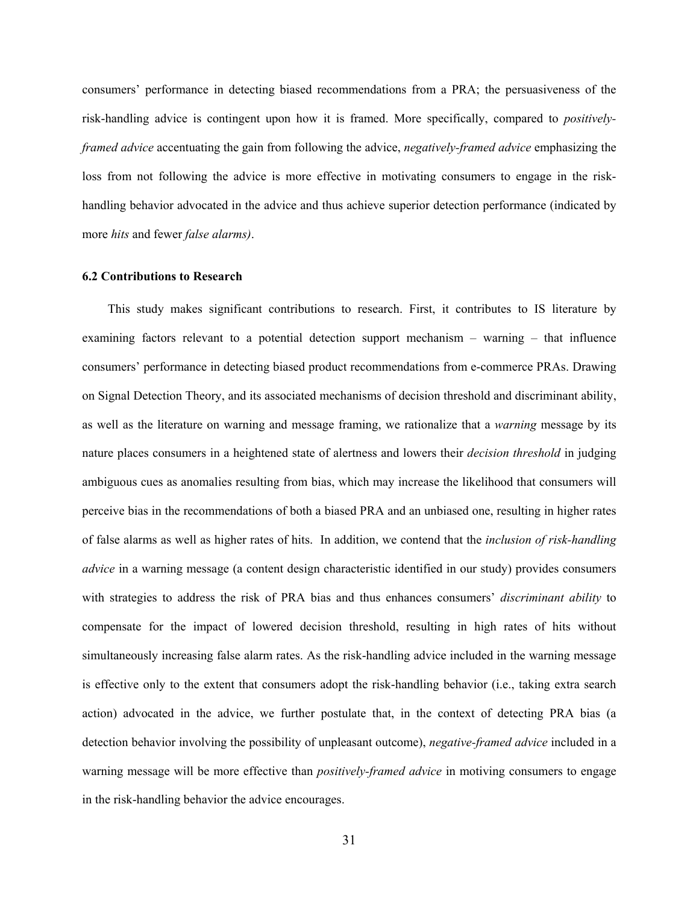consumers' performance in detecting biased recommendations from a PRA; the persuasiveness of the risk-handling advice is contingent upon how it is framed. More specifically, compared to *positivelyframed advice* accentuating the gain from following the advice, *negatively-framed advice* emphasizing the loss from not following the advice is more effective in motivating consumers to engage in the riskhandling behavior advocated in the advice and thus achieve superior detection performance (indicated by more *hits* and fewer *false alarms)*.

#### **6.2 Contributions to Research**

This study makes significant contributions to research. First, it contributes to IS literature by examining factors relevant to a potential detection support mechanism – warning – that influence consumers' performance in detecting biased product recommendations from e-commerce PRAs. Drawing on Signal Detection Theory, and its associated mechanisms of decision threshold and discriminant ability, as well as the literature on warning and message framing, we rationalize that a *warning* message by its nature places consumers in a heightened state of alertness and lowers their *decision threshold* in judging ambiguous cues as anomalies resulting from bias, which may increase the likelihood that consumers will perceive bias in the recommendations of both a biased PRA and an unbiased one, resulting in higher rates of false alarms as well as higher rates of hits. In addition, we contend that the *inclusion of risk-handling advice* in a warning message (a content design characteristic identified in our study) provides consumers with strategies to address the risk of PRA bias and thus enhances consumers' *discriminant ability* to compensate for the impact of lowered decision threshold, resulting in high rates of hits without simultaneously increasing false alarm rates. As the risk-handling advice included in the warning message is effective only to the extent that consumers adopt the risk-handling behavior (i.e., taking extra search action) advocated in the advice, we further postulate that, in the context of detecting PRA bias (a detection behavior involving the possibility of unpleasant outcome), *negative-framed advice* included in a warning message will be more effective than *positively-framed advice* in motiving consumers to engage in the risk-handling behavior the advice encourages.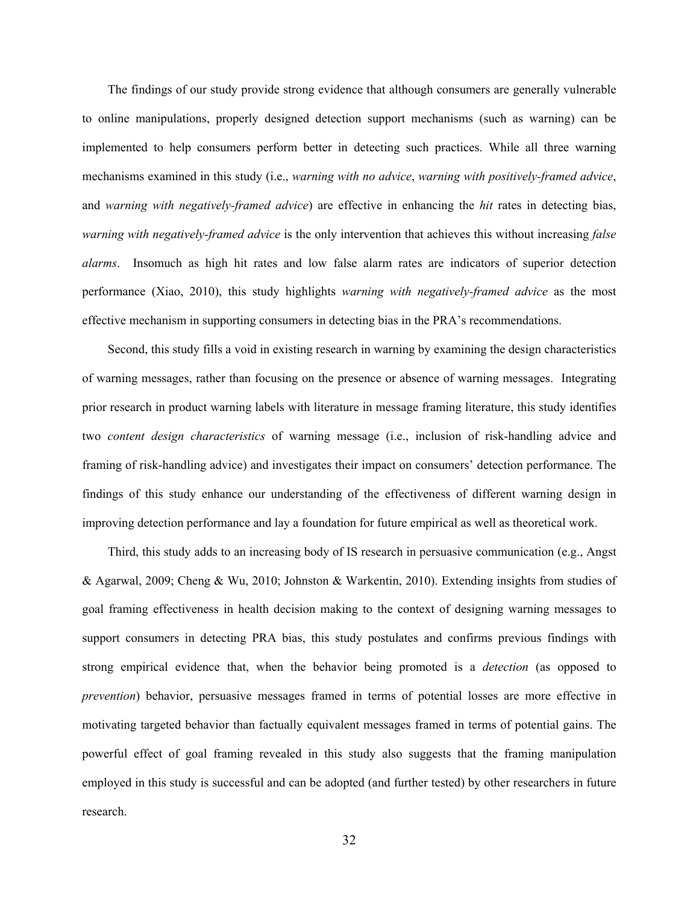The findings of our study provide strong evidence that although consumers are generally vulnerable to online manipulations, properly designed detection support mechanisms (such as warning) can be implemented to help consumers perform better in detecting such practices. While all three warning mechanisms examined in this study (i.e., *warning with no advice*, *warning with positively-framed advice*, and *warning with negatively-framed advice*) are effective in enhancing the *hit* rates in detecting bias, *warning with negatively-framed advice* is the only intervention that achieves this without increasing *false alarms*. Insomuch as high hit rates and low false alarm rates are indicators of superior detection performance (Xiao, 2010), this study highlights *warning with negatively-framed advice* as the most effective mechanism in supporting consumers in detecting bias in the PRA's recommendations.

Second, this study fills a void in existing research in warning by examining the design characteristics of warning messages, rather than focusing on the presence or absence of warning messages. Integrating prior research in product warning labels with literature in message framing literature, this study identifies two *content design characteristics* of warning message (i.e., inclusion of risk-handling advice and framing of risk-handling advice) and investigates their impact on consumers' detection performance. The findings of this study enhance our understanding of the effectiveness of different warning design in improving detection performance and lay a foundation for future empirical as well as theoretical work.

Third, this study adds to an increasing body of IS research in persuasive communication (e.g., Angst & Agarwal, 2009; Cheng & Wu, 2010; Johnston & Warkentin, 2010). Extending insights from studies of goal framing effectiveness in health decision making to the context of designing warning messages to support consumers in detecting PRA bias, this study postulates and confirms previous findings with strong empirical evidence that, when the behavior being promoted is a *detection* (as opposed to *prevention*) behavior, persuasive messages framed in terms of potential losses are more effective in motivating targeted behavior than factually equivalent messages framed in terms of potential gains. The powerful effect of goal framing revealed in this study also suggests that the framing manipulation employed in this study is successful and can be adopted (and further tested) by other researchers in future research.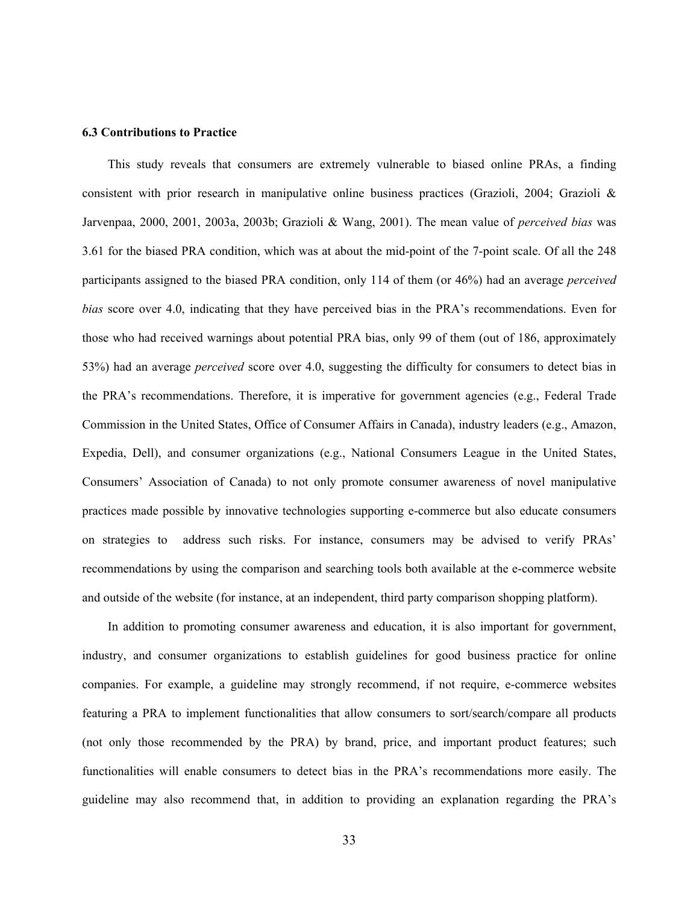#### **6.3 Contributions to Practice**

This study reveals that consumers are extremely vulnerable to biased online PRAs, a finding consistent with prior research in manipulative online business practices (Grazioli, 2004; Grazioli & Jarvenpaa, 2000, 2001, 2003a, 2003b; Grazioli & Wang, 2001). The mean value of *perceived bias* was 3.61 for the biased PRA condition, which was at about the mid-point of the 7-point scale. Of all the 248 participants assigned to the biased PRA condition, only 114 of them (or 46%) had an average *perceived bias* score over 4.0, indicating that they have perceived bias in the PRA's recommendations. Even for those who had received warnings about potential PRA bias, only 99 of them (out of 186, approximately 53%) had an average *perceived* score over 4.0, suggesting the difficulty for consumers to detect bias in the PRA's recommendations. Therefore, it is imperative for government agencies (e.g., Federal Trade Commission in the United States, Office of Consumer Affairs in Canada), industry leaders (e.g., Amazon, Expedia, Dell), and consumer organizations (e.g., National Consumers League in the United States, Consumers' Association of Canada) to not only promote consumer awareness of novel manipulative practices made possible by innovative technologies supporting e-commerce but also educate consumers on strategies to address such risks. For instance, consumers may be advised to verify PRAs' recommendations by using the comparison and searching tools both available at the e-commerce website and outside of the website (for instance, at an independent, third party comparison shopping platform).

In addition to promoting consumer awareness and education, it is also important for government, industry, and consumer organizations to establish guidelines for good business practice for online companies. For example, a guideline may strongly recommend, if not require, e-commerce websites featuring a PRA to implement functionalities that allow consumers to sort/search/compare all products (not only those recommended by the PRA) by brand, price, and important product features; such functionalities will enable consumers to detect bias in the PRA's recommendations more easily. The guideline may also recommend that, in addition to providing an explanation regarding the PRA's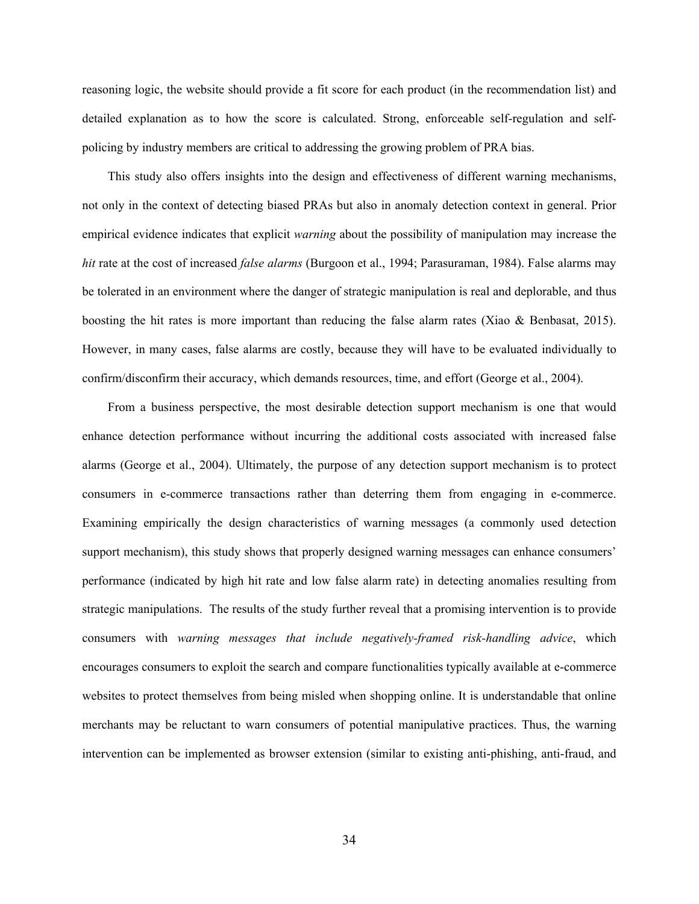reasoning logic, the website should provide a fit score for each product (in the recommendation list) and detailed explanation as to how the score is calculated. Strong, enforceable self-regulation and selfpolicing by industry members are critical to addressing the growing problem of PRA bias.

This study also offers insights into the design and effectiveness of different warning mechanisms, not only in the context of detecting biased PRAs but also in anomaly detection context in general. Prior empirical evidence indicates that explicit *warning* about the possibility of manipulation may increase the *hit* rate at the cost of increased *false alarms* (Burgoon et al., 1994; Parasuraman, 1984). False alarms may be tolerated in an environment where the danger of strategic manipulation is real and deplorable, and thus boosting the hit rates is more important than reducing the false alarm rates (Xiao & Benbasat, 2015). However, in many cases, false alarms are costly, because they will have to be evaluated individually to confirm/disconfirm their accuracy, which demands resources, time, and effort (George et al., 2004).

From a business perspective, the most desirable detection support mechanism is one that would enhance detection performance without incurring the additional costs associated with increased false alarms (George et al., 2004). Ultimately, the purpose of any detection support mechanism is to protect consumers in e-commerce transactions rather than deterring them from engaging in e-commerce. Examining empirically the design characteristics of warning messages (a commonly used detection support mechanism), this study shows that properly designed warning messages can enhance consumers' performance (indicated by high hit rate and low false alarm rate) in detecting anomalies resulting from strategic manipulations. The results of the study further reveal that a promising intervention is to provide consumers with *warning messages that include negatively-framed risk-handling advice*, which encourages consumers to exploit the search and compare functionalities typically available at e-commerce websites to protect themselves from being misled when shopping online. It is understandable that online merchants may be reluctant to warn consumers of potential manipulative practices. Thus, the warning intervention can be implemented as browser extension (similar to existing anti-phishing, anti-fraud, and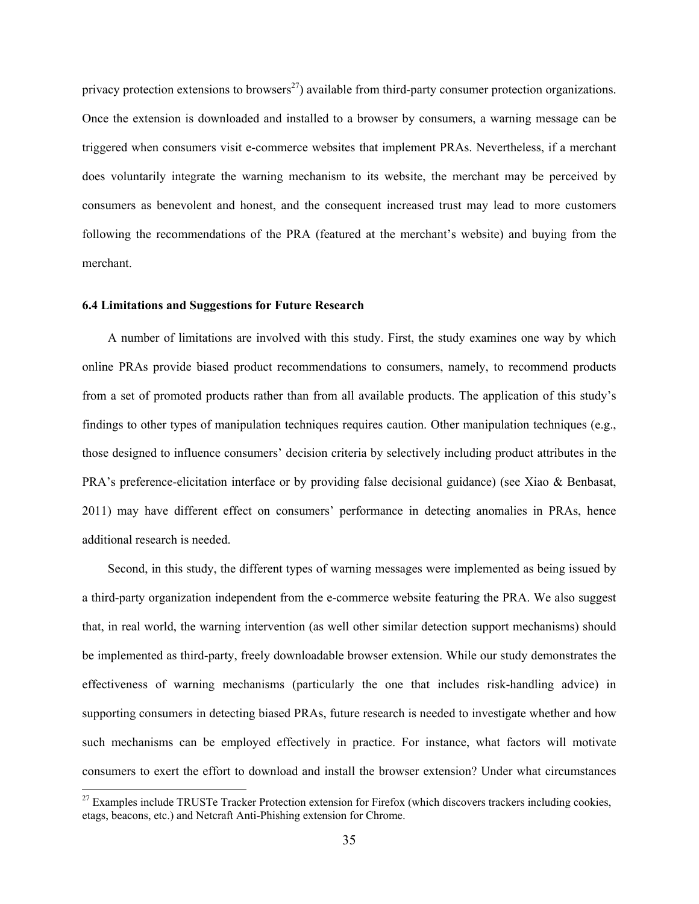privacy protection extensions to browsers<sup>27</sup>) available from third-party consumer protection organizations. Once the extension is downloaded and installed to a browser by consumers, a warning message can be triggered when consumers visit e-commerce websites that implement PRAs. Nevertheless, if a merchant does voluntarily integrate the warning mechanism to its website, the merchant may be perceived by consumers as benevolent and honest, and the consequent increased trust may lead to more customers following the recommendations of the PRA (featured at the merchant's website) and buying from the merchant.

### **6.4 Limitations and Suggestions for Future Research**

 $\overline{a}$ 

A number of limitations are involved with this study. First, the study examines one way by which online PRAs provide biased product recommendations to consumers, namely, to recommend products from a set of promoted products rather than from all available products. The application of this study's findings to other types of manipulation techniques requires caution. Other manipulation techniques (e.g., those designed to influence consumers' decision criteria by selectively including product attributes in the PRA's preference-elicitation interface or by providing false decisional guidance) (see Xiao & Benbasat, 2011) may have different effect on consumers' performance in detecting anomalies in PRAs, hence additional research is needed.

Second, in this study, the different types of warning messages were implemented as being issued by a third-party organization independent from the e-commerce website featuring the PRA. We also suggest that, in real world, the warning intervention (as well other similar detection support mechanisms) should be implemented as third-party, freely downloadable browser extension. While our study demonstrates the effectiveness of warning mechanisms (particularly the one that includes risk-handling advice) in supporting consumers in detecting biased PRAs, future research is needed to investigate whether and how such mechanisms can be employed effectively in practice. For instance, what factors will motivate consumers to exert the effort to download and install the browser extension? Under what circumstances

<sup>&</sup>lt;sup>27</sup> Examples include TRUSTe Tracker Protection extension for Firefox (which discovers trackers including cookies, etags, beacons, etc.) and Netcraft Anti-Phishing extension for Chrome.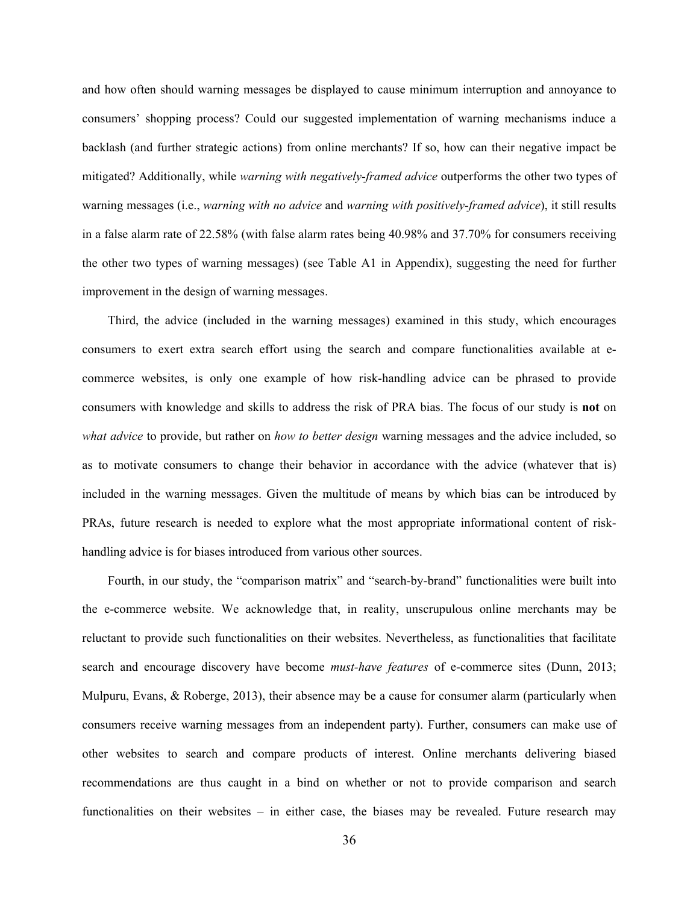and how often should warning messages be displayed to cause minimum interruption and annoyance to consumers' shopping process? Could our suggested implementation of warning mechanisms induce a backlash (and further strategic actions) from online merchants? If so, how can their negative impact be mitigated? Additionally, while *warning with negatively-framed advice* outperforms the other two types of warning messages (i.e., *warning with no advice* and *warning with positively-framed advice*), it still results in a false alarm rate of 22.58% (with false alarm rates being 40.98% and 37.70% for consumers receiving the other two types of warning messages) (see Table A1 in Appendix), suggesting the need for further improvement in the design of warning messages.

Third, the advice (included in the warning messages) examined in this study, which encourages consumers to exert extra search effort using the search and compare functionalities available at ecommerce websites, is only one example of how risk-handling advice can be phrased to provide consumers with knowledge and skills to address the risk of PRA bias. The focus of our study is **not** on *what advice* to provide, but rather on *how to better design* warning messages and the advice included, so as to motivate consumers to change their behavior in accordance with the advice (whatever that is) included in the warning messages. Given the multitude of means by which bias can be introduced by PRAs, future research is needed to explore what the most appropriate informational content of riskhandling advice is for biases introduced from various other sources.

Fourth, in our study, the "comparison matrix" and "search-by-brand" functionalities were built into the e-commerce website. We acknowledge that, in reality, unscrupulous online merchants may be reluctant to provide such functionalities on their websites. Nevertheless, as functionalities that facilitate search and encourage discovery have become *must-have features* of e-commerce sites (Dunn, 2013; Mulpuru, Evans, & Roberge, 2013), their absence may be a cause for consumer alarm (particularly when consumers receive warning messages from an independent party). Further, consumers can make use of other websites to search and compare products of interest. Online merchants delivering biased recommendations are thus caught in a bind on whether or not to provide comparison and search functionalities on their websites – in either case, the biases may be revealed. Future research may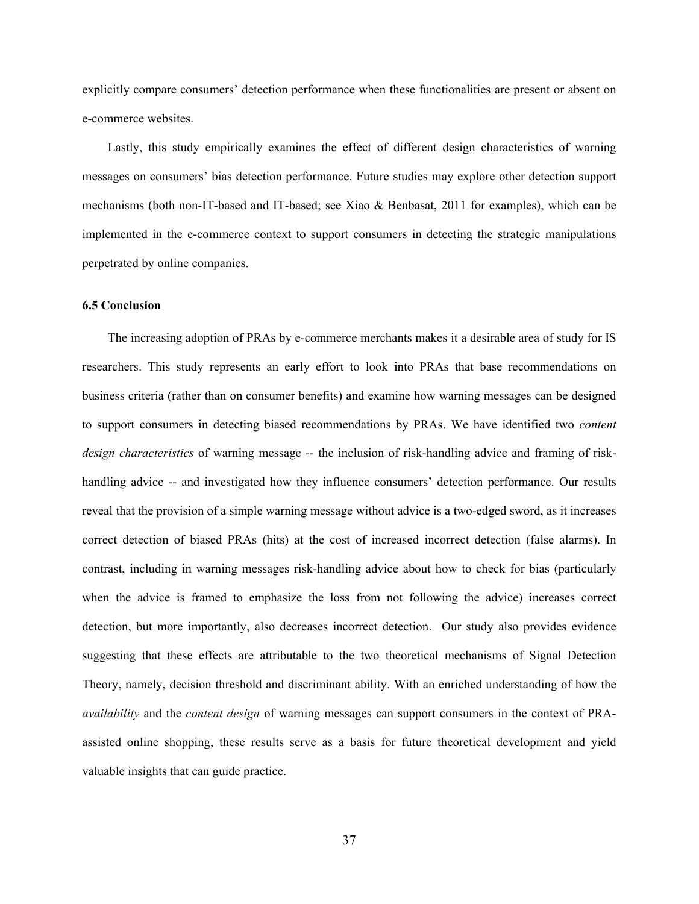explicitly compare consumers' detection performance when these functionalities are present or absent on e-commerce websites.

Lastly, this study empirically examines the effect of different design characteristics of warning messages on consumers' bias detection performance. Future studies may explore other detection support mechanisms (both non-IT-based and IT-based; see Xiao & Benbasat, 2011 for examples), which can be implemented in the e-commerce context to support consumers in detecting the strategic manipulations perpetrated by online companies.

### **6.5 Conclusion**

The increasing adoption of PRAs by e-commerce merchants makes it a desirable area of study for IS researchers. This study represents an early effort to look into PRAs that base recommendations on business criteria (rather than on consumer benefits) and examine how warning messages can be designed to support consumers in detecting biased recommendations by PRAs. We have identified two *content design characteristics* of warning message -- the inclusion of risk-handling advice and framing of riskhandling advice -- and investigated how they influence consumers' detection performance. Our results reveal that the provision of a simple warning message without advice is a two-edged sword, as it increases correct detection of biased PRAs (hits) at the cost of increased incorrect detection (false alarms). In contrast, including in warning messages risk-handling advice about how to check for bias (particularly when the advice is framed to emphasize the loss from not following the advice) increases correct detection, but more importantly, also decreases incorrect detection. Our study also provides evidence suggesting that these effects are attributable to the two theoretical mechanisms of Signal Detection Theory, namely, decision threshold and discriminant ability. With an enriched understanding of how the *availability* and the *content design* of warning messages can support consumers in the context of PRAassisted online shopping, these results serve as a basis for future theoretical development and yield valuable insights that can guide practice.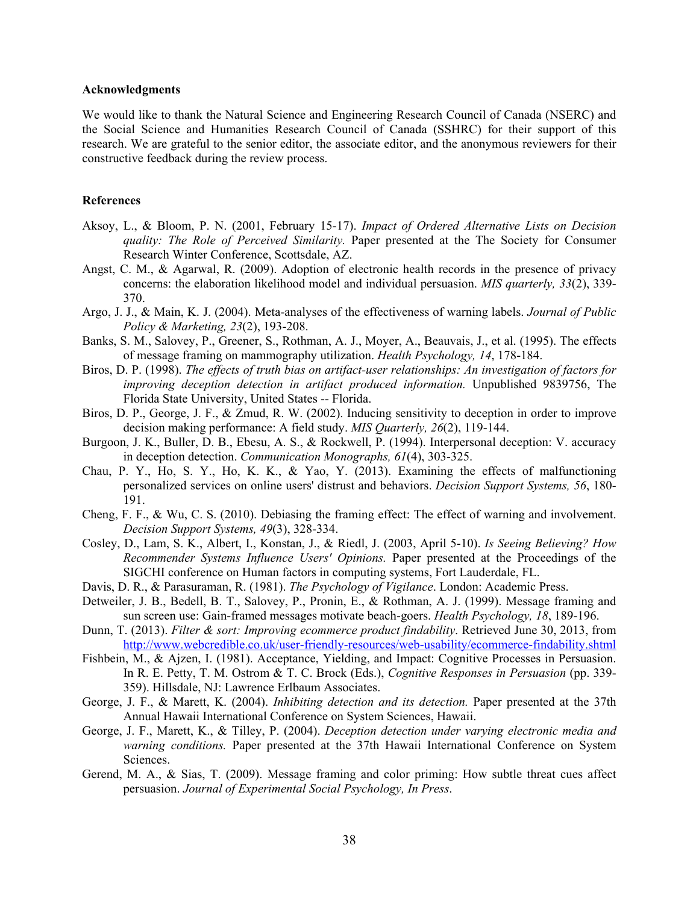### **Acknowledgments**

We would like to thank the Natural Science and Engineering Research Council of Canada (NSERC) and the Social Science and Humanities Research Council of Canada (SSHRC) for their support of this research. We are grateful to the senior editor, the associate editor, and the anonymous reviewers for their constructive feedback during the review process.

### **References**

- Aksoy, L., & Bloom, P. N. (2001, February 15-17). *Impact of Ordered Alternative Lists on Decision quality: The Role of Perceived Similarity.* Paper presented at the The Society for Consumer Research Winter Conference, Scottsdale, AZ.
- Angst, C. M., & Agarwal, R. (2009). Adoption of electronic health records in the presence of privacy concerns: the elaboration likelihood model and individual persuasion. *MIS quarterly, 33*(2), 339- 370.
- Argo, J. J., & Main, K. J. (2004). Meta-analyses of the effectiveness of warning labels. *Journal of Public Policy & Marketing, 23*(2), 193-208.
- Banks, S. M., Salovey, P., Greener, S., Rothman, A. J., Moyer, A., Beauvais, J., et al. (1995). The effects of message framing on mammography utilization. *Health Psychology, 14*, 178-184.
- Biros, D. P. (1998). *The effects of truth bias on artifact-user relationships: An investigation of factors for improving deception detection in artifact produced information.* Unpublished 9839756, The Florida State University, United States -- Florida.
- Biros, D. P., George, J. F., & Zmud, R. W. (2002). Inducing sensitivity to deception in order to improve decision making performance: A field study. *MIS Quarterly, 26*(2), 119-144.
- Burgoon, J. K., Buller, D. B., Ebesu, A. S., & Rockwell, P. (1994). Interpersonal deception: V. accuracy in deception detection. *Communication Monographs, 61*(4), 303-325.
- Chau, P. Y., Ho, S. Y., Ho, K. K., & Yao, Y. (2013). Examining the effects of malfunctioning personalized services on online users' distrust and behaviors. *Decision Support Systems, 56*, 180- 191.
- Cheng, F. F., & Wu, C. S. (2010). Debiasing the framing effect: The effect of warning and involvement. *Decision Support Systems, 49*(3), 328-334.
- Cosley, D., Lam, S. K., Albert, I., Konstan, J., & Riedl, J. (2003, April 5-10). *Is Seeing Believing? How Recommender Systems Influence Users' Opinions.* Paper presented at the Proceedings of the SIGCHI conference on Human factors in computing systems, Fort Lauderdale, FL.
- Davis, D. R., & Parasuraman, R. (1981). *The Psychology of Vigilance*. London: Academic Press.
- Detweiler, J. B., Bedell, B. T., Salovey, P., Pronin, E., & Rothman, A. J. (1999). Message framing and sun screen use: Gain-framed messages motivate beach-goers. *Health Psychology, 18*, 189-196.
- Dunn, T. (2013). *Filter & sort: Improving ecommerce product findability*. Retrieved June 30, 2013, from http://www.webcredible.co.uk/user-friendly-resources/web-usability/ecommerce-findability.shtml
- Fishbein, M., & Ajzen, I. (1981). Acceptance, Yielding, and Impact: Cognitive Processes in Persuasion. In R. E. Petty, T. M. Ostrom & T. C. Brock (Eds.), *Cognitive Responses in Persuasion* (pp. 339- 359). Hillsdale, NJ: Lawrence Erlbaum Associates.
- George, J. F., & Marett, K. (2004). *Inhibiting detection and its detection.* Paper presented at the 37th Annual Hawaii International Conference on System Sciences, Hawaii.
- George, J. F., Marett, K., & Tilley, P. (2004). *Deception detection under varying electronic media and warning conditions.* Paper presented at the 37th Hawaii International Conference on System Sciences.
- Gerend, M. A., & Sias, T. (2009). Message framing and color priming: How subtle threat cues affect persuasion. *Journal of Experimental Social Psychology, In Press*.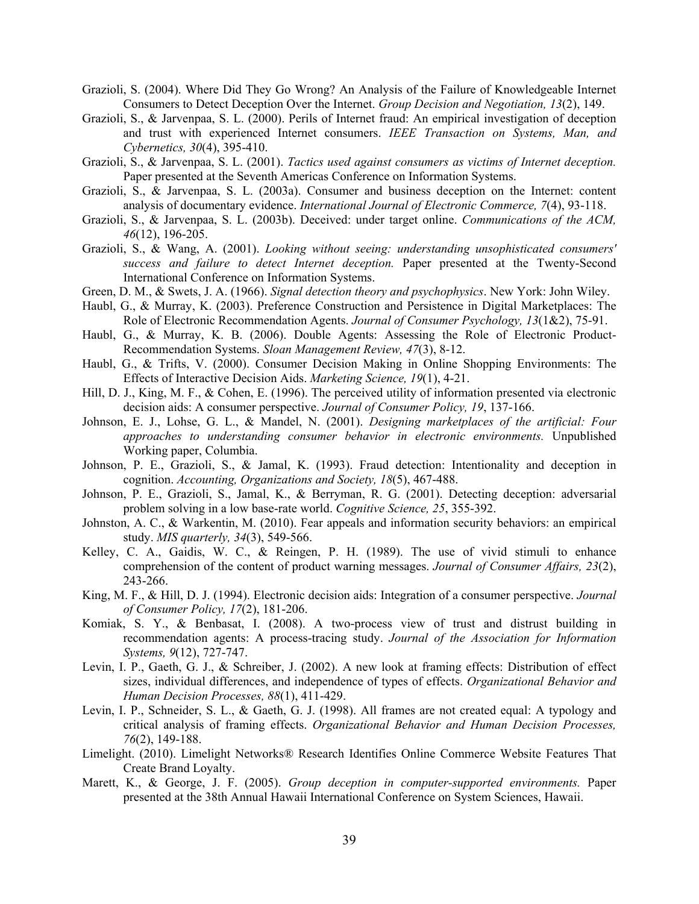- Grazioli, S. (2004). Where Did They Go Wrong? An Analysis of the Failure of Knowledgeable Internet Consumers to Detect Deception Over the Internet. *Group Decision and Negotiation, 13*(2), 149.
- Grazioli, S., & Jarvenpaa, S. L. (2000). Perils of Internet fraud: An empirical investigation of deception and trust with experienced Internet consumers. *IEEE Transaction on Systems, Man, and Cybernetics, 30*(4), 395-410.
- Grazioli, S., & Jarvenpaa, S. L. (2001). *Tactics used against consumers as victims of Internet deception.* Paper presented at the Seventh Americas Conference on Information Systems.
- Grazioli, S., & Jarvenpaa, S. L. (2003a). Consumer and business deception on the Internet: content analysis of documentary evidence. *International Journal of Electronic Commerce, 7*(4), 93-118.
- Grazioli, S., & Jarvenpaa, S. L. (2003b). Deceived: under target online. *Communications of the ACM, 46*(12), 196-205.
- Grazioli, S., & Wang, A. (2001). *Looking without seeing: understanding unsophisticated consumers' success and failure to detect Internet deception.* Paper presented at the Twenty-Second International Conference on Information Systems.
- Green, D. M., & Swets, J. A. (1966). *Signal detection theory and psychophysics*. New York: John Wiley.
- Haubl, G., & Murray, K. (2003). Preference Construction and Persistence in Digital Marketplaces: The Role of Electronic Recommendation Agents. *Journal of Consumer Psychology, 13*(1&2), 75-91.
- Haubl, G., & Murray, K. B. (2006). Double Agents: Assessing the Role of Electronic Product-Recommendation Systems. *Sloan Management Review, 47*(3), 8-12.
- Haubl, G., & Trifts, V. (2000). Consumer Decision Making in Online Shopping Environments: The Effects of Interactive Decision Aids. *Marketing Science, 19*(1), 4-21.
- Hill, D. J., King, M. F., & Cohen, E. (1996). The perceived utility of information presented via electronic decision aids: A consumer perspective. *Journal of Consumer Policy, 19*, 137-166.
- Johnson, E. J., Lohse, G. L., & Mandel, N. (2001). *Designing marketplaces of the artificial: Four approaches to understanding consumer behavior in electronic environments.* Unpublished Working paper, Columbia.
- Johnson, P. E., Grazioli, S., & Jamal, K. (1993). Fraud detection: Intentionality and deception in cognition. *Accounting, Organizations and Society, 18*(5), 467-488.
- Johnson, P. E., Grazioli, S., Jamal, K., & Berryman, R. G. (2001). Detecting deception: adversarial problem solving in a low base-rate world. *Cognitive Science, 25*, 355-392.
- Johnston, A. C., & Warkentin, M. (2010). Fear appeals and information security behaviors: an empirical study. *MIS quarterly, 34*(3), 549-566.
- Kelley, C. A., Gaidis, W. C., & Reingen, P. H. (1989). The use of vivid stimuli to enhance comprehension of the content of product warning messages. *Journal of Consumer Affairs, 23*(2), 243-266.
- King, M. F., & Hill, D. J. (1994). Electronic decision aids: Integration of a consumer perspective. *Journal of Consumer Policy, 17*(2), 181-206.
- Komiak, S. Y., & Benbasat, I. (2008). A two-process view of trust and distrust building in recommendation agents: A process-tracing study. *Journal of the Association for Information Systems, 9*(12), 727-747.
- Levin, I. P., Gaeth, G. J., & Schreiber, J. (2002). A new look at framing effects: Distribution of effect sizes, individual differences, and independence of types of effects. *Organizational Behavior and Human Decision Processes, 88*(1), 411-429.
- Levin, I. P., Schneider, S. L., & Gaeth, G. J. (1998). All frames are not created equal: A typology and critical analysis of framing effects. *Organizational Behavior and Human Decision Processes, 76*(2), 149-188.
- Limelight. (2010). Limelight Networks® Research Identifies Online Commerce Website Features That Create Brand Loyalty.
- Marett, K., & George, J. F. (2005). *Group deception in computer-supported environments.* Paper presented at the 38th Annual Hawaii International Conference on System Sciences, Hawaii.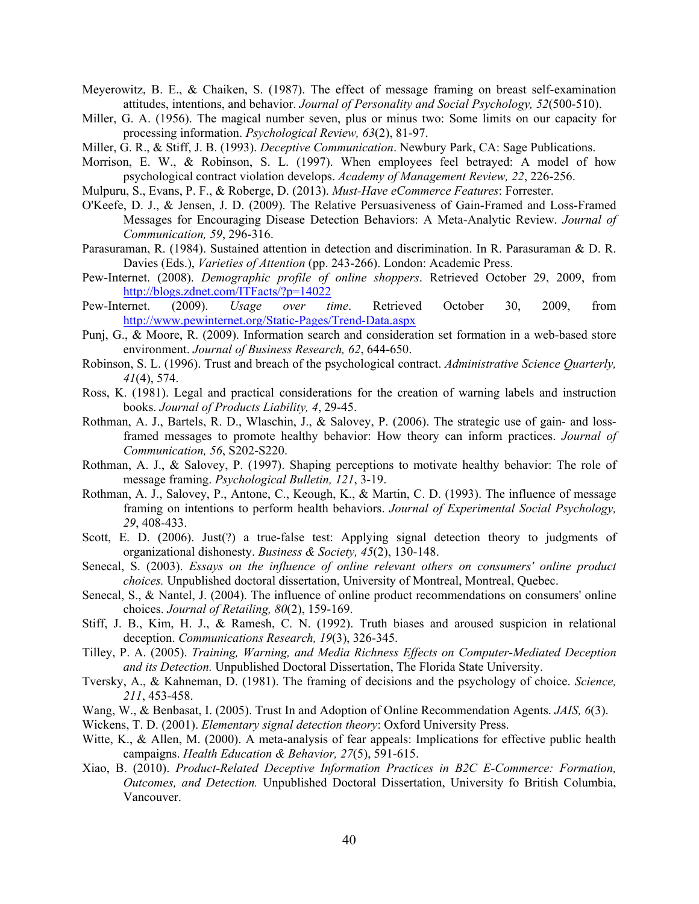Meyerowitz, B. E., & Chaiken, S. (1987). The effect of message framing on breast self-examination attitudes, intentions, and behavior. *Journal of Personality and Social Psychology, 52*(500-510).

Miller, G. A. (1956). The magical number seven, plus or minus two: Some limits on our capacity for processing information. *Psychological Review, 63*(2), 81-97.

Miller, G. R., & Stiff, J. B. (1993). *Deceptive Communication*. Newbury Park, CA: Sage Publications.

- Morrison, E. W., & Robinson, S. L. (1997). When employees feel betrayed: A model of how psychological contract violation develops. *Academy of Management Review, 22*, 226-256.
- Mulpuru, S., Evans, P. F., & Roberge, D. (2013). *Must-Have eCommerce Features*: Forrester.
- O'Keefe, D. J., & Jensen, J. D. (2009). The Relative Persuasiveness of Gain-Framed and Loss-Framed Messages for Encouraging Disease Detection Behaviors: A Meta-Analytic Review. *Journal of Communication, 59*, 296-316.
- Parasuraman, R. (1984). Sustained attention in detection and discrimination. In R. Parasuraman & D. R. Davies (Eds.), *Varieties of Attention* (pp. 243-266). London: Academic Press.
- Pew-Internet. (2008). *Demographic profile of online shoppers*. Retrieved October 29, 2009, from http://blogs.zdnet.com/ITFacts/?p=14022
- Pew-Internet. (2009). *Usage over time*. Retrieved October 30, 2009, from http://www.pewinternet.org/Static-Pages/Trend-Data.aspx
- Punj, G., & Moore, R. (2009). Information search and consideration set formation in a web-based store environment. *Journal of Business Research, 62*, 644-650.
- Robinson, S. L. (1996). Trust and breach of the psychological contract. *Administrative Science Quarterly, 41*(4), 574.
- Ross, K. (1981). Legal and practical considerations for the creation of warning labels and instruction books. *Journal of Products Liability, 4*, 29-45.
- Rothman, A. J., Bartels, R. D., Wlaschin, J., & Salovey, P. (2006). The strategic use of gain- and lossframed messages to promote healthy behavior: How theory can inform practices. *Journal of Communication, 56*, S202-S220.
- Rothman, A. J., & Salovey, P. (1997). Shaping perceptions to motivate healthy behavior: The role of message framing. *Psychological Bulletin, 121*, 3-19.
- Rothman, A. J., Salovey, P., Antone, C., Keough, K., & Martin, C. D. (1993). The influence of message framing on intentions to perform health behaviors. *Journal of Experimental Social Psychology, 29*, 408-433.
- Scott, E. D. (2006). Just(?) a true-false test: Applying signal detection theory to judgments of organizational dishonesty. *Business & Society, 45*(2), 130-148.
- Senecal, S. (2003). *Essays on the influence of online relevant others on consumers' online product choices.* Unpublished doctoral dissertation, University of Montreal, Montreal, Quebec.
- Senecal, S., & Nantel, J. (2004). The influence of online product recommendations on consumers' online choices. *Journal of Retailing, 80*(2), 159-169.
- Stiff, J. B., Kim, H. J., & Ramesh, C. N. (1992). Truth biases and aroused suspicion in relational deception. *Communications Research, 19*(3), 326-345.
- Tilley, P. A. (2005). *Training, Warning, and Media Richness Effects on Computer-Mediated Deception and its Detection.* Unpublished Doctoral Dissertation, The Florida State University.
- Tversky, A., & Kahneman, D. (1981). The framing of decisions and the psychology of choice. *Science, 211*, 453-458.
- Wang, W., & Benbasat, I. (2005). Trust In and Adoption of Online Recommendation Agents. *JAIS, 6*(3).
- Wickens, T. D. (2001). *Elementary signal detection theory*: Oxford University Press.
- Witte, K., & Allen, M. (2000). A meta-analysis of fear appeals: Implications for effective public health campaigns. *Health Education & Behavior, 27*(5), 591-615.
- Xiao, B. (2010). *Product-Related Deceptive Information Practices in B2C E-Commerce: Formation, Outcomes, and Detection.* Unpublished Doctoral Dissertation, University fo British Columbia, Vancouver.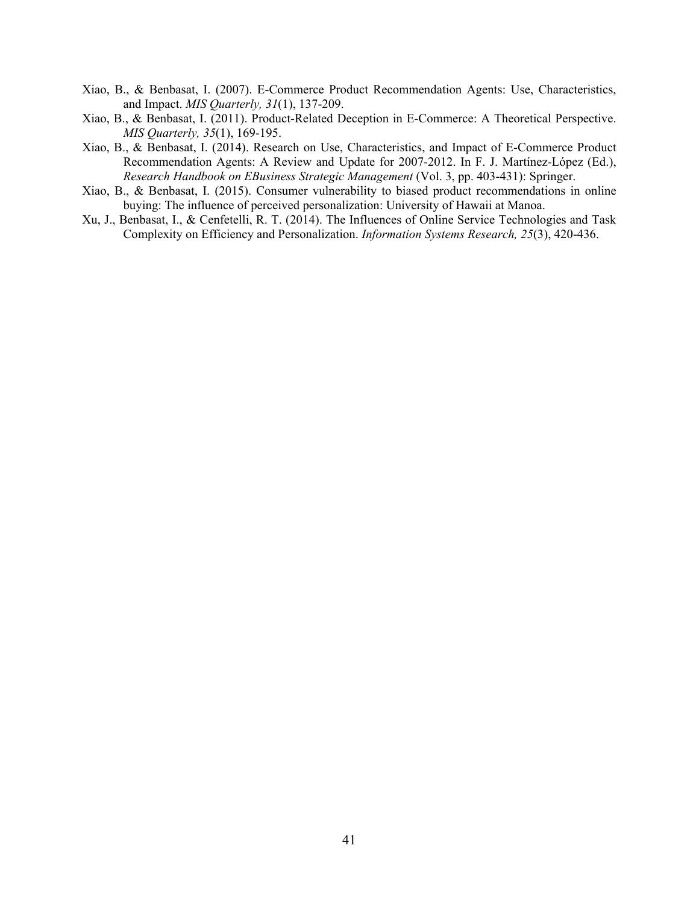- Xiao, B., & Benbasat, I. (2007). E-Commerce Product Recommendation Agents: Use, Characteristics, and Impact. *MIS Quarterly, 31*(1), 137-209.
- Xiao, B., & Benbasat, I. (2011). Product-Related Deception in E-Commerce: A Theoretical Perspective. *MIS Quarterly, 35*(1), 169-195.
- Xiao, B., & Benbasat, I. (2014). Research on Use, Characteristics, and Impact of E-Commerce Product Recommendation Agents: A Review and Update for 2007-2012. In F. J. Martínez-López (Ed.), *Research Handbook on EBusiness Strategic Management* (Vol. 3, pp. 403-431): Springer.
- Xiao, B., & Benbasat, I. (2015). Consumer vulnerability to biased product recommendations in online buying: The influence of perceived personalization: University of Hawaii at Manoa.
- Xu, J., Benbasat, I., & Cenfetelli, R. T. (2014). The Influences of Online Service Technologies and Task Complexity on Efficiency and Personalization. *Information Systems Research, 25*(3), 420-436.